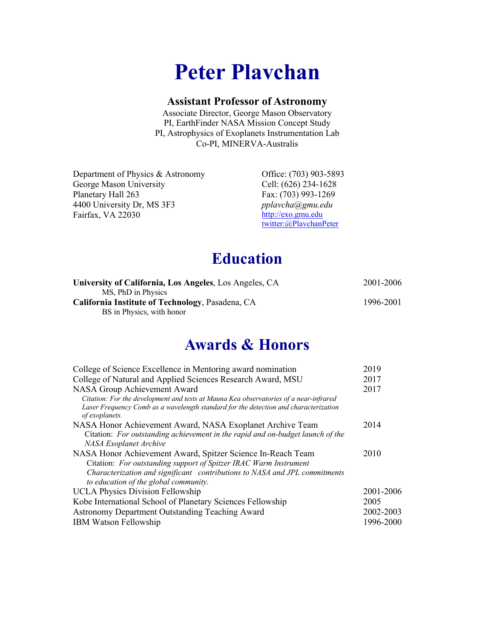# **Peter Plavchan**

#### **Assistant Professor of Astronomy**

Associate Director, George Mason Observatory PI, EarthFinder NASA Mission Concept Study PI, Astrophysics of Exoplanets Instrumentation Lab Co-PI, MINERVA-Australis

Department of Physics & Astronomy George Mason University Planetary Hall 263 4400 University Dr, MS 3F3 Fairfax, VA 22030

Office: (703) 903-5893 Cell: (626) 234-1628 Fax: (703) 993-1269 *pplavcha@gmu.edu* http://exo.gmu.edu twitter:@PlavchanPeter

### **Education**

| University of California, Los Angeles, Los Angeles, CA | 2001-2006 |
|--------------------------------------------------------|-----------|
| MS, PhD in Physics                                     |           |
| California Institute of Technology, Pasadena, CA       | 1996-2001 |
| BS in Physics, with honor                              |           |

### **Awards & Honors**

| College of Science Excellence in Mentoring award nomination                                            | 2019      |
|--------------------------------------------------------------------------------------------------------|-----------|
| College of Natural and Applied Sciences Research Award, MSU                                            | 2017      |
| NASA Group Achievement Award                                                                           | 2017      |
| Citation: For the development and tests at Mauna Kea observatories of a near-infrared                  |           |
| Laser Frequency Comb as a wavelength standard for the detection and characterization<br>of exoplanets. |           |
| NASA Honor Achievement Award, NASA Exoplanet Archive Team                                              | 2014      |
| Citation: For outstanding achievement in the rapid and on-budget launch of the                         |           |
| NASA Exoplanet Archive                                                                                 |           |
| NASA Honor Achievement Award, Spitzer Science In-Reach Team                                            | 2010      |
| Citation: For outstanding support of Spitzer IRAC Warm Instrument                                      |           |
| Characterization and significant contributions to NASA and JPL commitments                             |           |
| to education of the global community.                                                                  |           |
| <b>UCLA Physics Division Fellowship</b>                                                                | 2001-2006 |
| Kobe International School of Planetary Sciences Fellowship                                             | 2005      |
| Astronomy Department Outstanding Teaching Award                                                        | 2002-2003 |
| <b>IBM Watson Fellowship</b>                                                                           | 1996-2000 |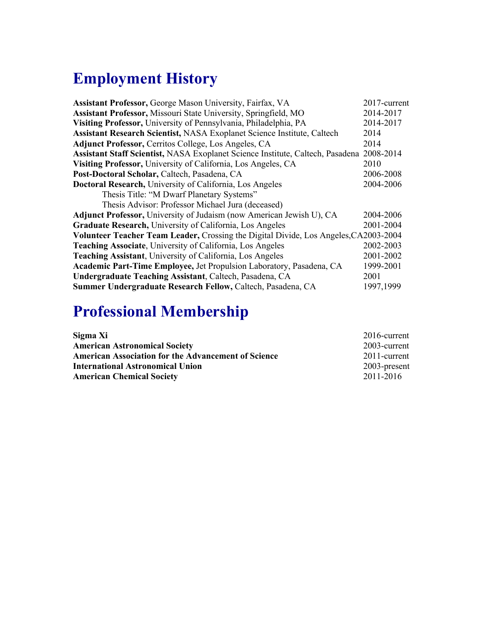# **Employment History**

| Assistant Professor, George Mason University, Fairfax, VA                                | 2017-current |
|------------------------------------------------------------------------------------------|--------------|
| Assistant Professor, Missouri State University, Springfield, MO                          | 2014-2017    |
| Visiting Professor, University of Pennsylvania, Philadelphia, PA                         | 2014-2017    |
| Assistant Research Scientist, NASA Exoplanet Science Institute, Caltech                  | 2014         |
| Adjunct Professor, Cerritos College, Los Angeles, CA                                     | 2014         |
| Assistant Staff Scientist, NASA Exoplanet Science Institute, Caltech, Pasadena 2008-2014 |              |
| Visiting Professor, University of California, Los Angeles, CA                            | 2010         |
| Post-Doctoral Scholar, Caltech, Pasadena, CA                                             | 2006-2008    |
| <b>Doctoral Research, University of California, Los Angeles</b>                          | 2004-2006    |
| Thesis Title: "M Dwarf Planetary Systems"                                                |              |
| Thesis Advisor: Professor Michael Jura (deceased)                                        |              |
| Adjunct Professor, University of Judaism (now American Jewish U), CA                     | 2004-2006    |
| Graduate Research, University of California, Los Angeles                                 | 2001-2004    |
| Volunteer Teacher Team Leader, Crossing the Digital Divide, Los Angeles, CA2003-2004     |              |
| Teaching Associate, University of California, Los Angeles                                | 2002-2003    |
| Teaching Assistant, University of California, Los Angeles                                | 2001-2002    |
| Academic Part-Time Employee, Jet Propulsion Laboratory, Pasadena, CA                     | 1999-2001    |
| Undergraduate Teaching Assistant, Caltech, Pasadena, CA                                  | 2001         |
| Summer Undergraduate Research Fellow, Caltech, Pasadena, CA                              | 1997,1999    |

# **Professional Membership**

| Sigma Xi                                                   | $2016$ -current |
|------------------------------------------------------------|-----------------|
| <b>American Astronomical Society</b>                       | 2003-current    |
| <b>American Association for the Advancement of Science</b> | 2011-current    |
| <b>International Astronomical Union</b>                    | $2003$ -present |
| <b>American Chemical Society</b>                           | 2011-2016       |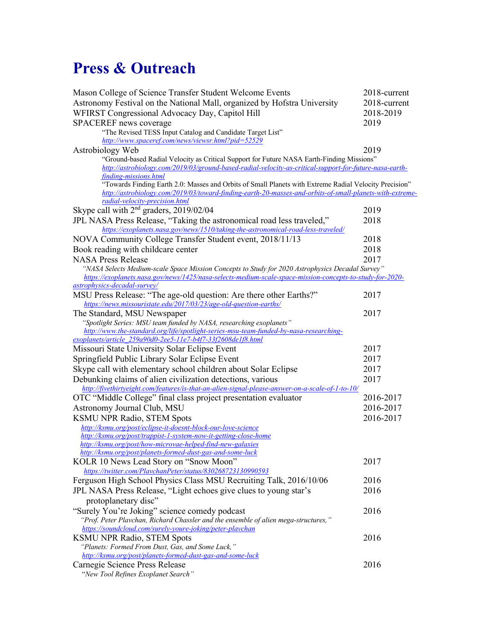# **Press & Outreach**

| Mason College of Science Transfer Student Welcome Events                                                                                                                                                      | 2018-current |
|---------------------------------------------------------------------------------------------------------------------------------------------------------------------------------------------------------------|--------------|
| Astronomy Festival on the National Mall, organized by Hofstra University                                                                                                                                      | 2018-current |
| WFIRST Congressional Advocacy Day, Capitol Hill                                                                                                                                                               | 2018-2019    |
| SPACEREF news coverage                                                                                                                                                                                        | 2019         |
| "The Revised TESS Input Catalog and Candidate Target List"                                                                                                                                                    |              |
| http://www.spaceref.com/news/viewsr.html?pid=52529                                                                                                                                                            |              |
| Astrobiology Web                                                                                                                                                                                              | 2019         |
| "Ground-based Radial Velocity as Critical Support for Future NASA Earth-Finding Missions"                                                                                                                     |              |
| http://astrobiology.com/2019/03/ground-based-radial-velocity-as-critical-support-for-future-nasa-earth-                                                                                                       |              |
| finding-missions.html                                                                                                                                                                                         |              |
| "Towards Finding Earth 2.0: Masses and Orbits of Small Planets with Extreme Radial Velocity Precision"                                                                                                        |              |
| http://astrobiology.com/2019/03/toward-finding-earth-20-masses-and-orbits-of-small-planets-with-extreme-<br>radial-velocity-precision.html                                                                    |              |
| Skype call with $2nd$ graders, 2019/02/04                                                                                                                                                                     | 2019         |
| JPL NASA Press Release, "Taking the astronomical road less traveled,"                                                                                                                                         | 2018         |
| https://exoplanets.nasa.gov/news/1510/taking-the-astronomical-road-less-traveled/                                                                                                                             |              |
| NOVA Community College Transfer Student event, 2018/11/13                                                                                                                                                     | 2018         |
| Book reading with childcare center                                                                                                                                                                            | 2018         |
| <b>NASA Press Release</b>                                                                                                                                                                                     | 2017         |
|                                                                                                                                                                                                               |              |
| "NASA Selects Medium-scale Space Mission Concepts to Study for 2020 Astrophysics Decadal Survey"<br>https://exoplanets.nasa.gov/news/1425/nasa-selects-medium-scale-space-mission-concepts-to-study-for-2020- |              |
| astrophysics-decadal-survey/                                                                                                                                                                                  |              |
| MSU Press Release: "The age-old question: Are there other Earths?"                                                                                                                                            | 2017         |
| https://news.missouristate.edu/2017/03/23/age-old-question-earths/                                                                                                                                            |              |
| The Standard, MSU Newspaper                                                                                                                                                                                   | 2017         |
| "Spotlight Series: MSU team funded by NASA, researching exoplanets"                                                                                                                                           |              |
| http://www.the-standard.org/life/spotlight-series-msu-team-funded-by-nasa-researching-                                                                                                                        |              |
| exoplanets/article_259a90d0-2ee5-11e7-b4f7-33f2608de1f8.html                                                                                                                                                  |              |
| Missouri State University Solar Eclipse Event                                                                                                                                                                 | 2017         |
| Springfield Public Library Solar Eclipse Event                                                                                                                                                                | 2017         |
| Skype call with elementary school children about Solar Eclipse                                                                                                                                                | 2017         |
| Debunking claims of alien civilization detections, various                                                                                                                                                    | 2017         |
| http://fivethirtyeight.com/features/is-that-an-alien-signal-please-answer-on-a-scale-of-1-to-10/                                                                                                              |              |
| OTC "Middle College" final class project presentation evaluator                                                                                                                                               | 2016-2017    |
| Astronomy Journal Club, MSU                                                                                                                                                                                   | 2016-2017    |
| <b>KSMU NPR Radio, STEM Spots</b>                                                                                                                                                                             | 2016-2017    |
| http://ksmu.org/post/eclipse-it-doesnt-block-our-love-science                                                                                                                                                 |              |
| http://ksmu.org/post/trappist-1-system-now-it-getting-close-home                                                                                                                                              |              |
| http://ksmu.org/post/how-microvae-helped-find-new-galaxies                                                                                                                                                    |              |
| http://ksmu.org/post/planets-formed-dust-gas-and-some-luck                                                                                                                                                    |              |
| KOLR 10 News Lead Story on "Snow Moon"                                                                                                                                                                        | 2017         |
| https://twitter.com/PlaychanPeter/status/830268723130990593                                                                                                                                                   |              |
| Ferguson High School Physics Class MSU Recruiting Talk, 2016/10/06                                                                                                                                            | 2016         |
| JPL NASA Press Release, "Light echoes give clues to young star's                                                                                                                                              | 2016         |
| protoplanetary disc"                                                                                                                                                                                          |              |
| "Surely You're Joking" science comedy podcast                                                                                                                                                                 | 2016         |
| "Prof. Peter Plavchan, Richard Chassler and the ensemble of alien mega-structures,"                                                                                                                           |              |
| https://soundcloud.com/surely-youre-joking/peter-playchan                                                                                                                                                     |              |
| <b>KSMU NPR Radio, STEM Spots</b>                                                                                                                                                                             | 2016         |
| "Planets: Formed From Dust, Gas, and Some Luck,"                                                                                                                                                              |              |
| http://ksmu.org/post/planets-formed-dust-gas-and-some-luck                                                                                                                                                    | 2016         |
| Carnegie Science Press Release                                                                                                                                                                                |              |
| "New Tool Refines Exoplanet Search"                                                                                                                                                                           |              |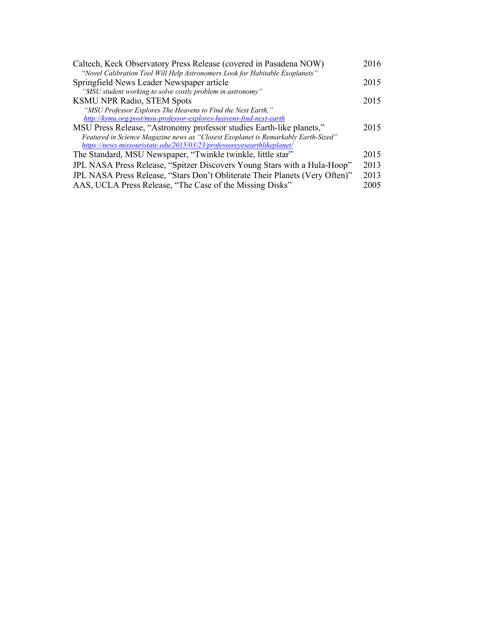| Caltech, Keck Observatory Press Release (covered in Pasadena NOW)                  | 2016 |
|------------------------------------------------------------------------------------|------|
| "Novel Calibration Tool Will Help Astronomers Look for Habitable Exoplanets"       |      |
| Springfield News Leader Newspaper article                                          | 2015 |
| "MSU student working to solve costly problem in astronomy"                         |      |
| <b>KSMU NPR Radio, STEM Spots</b>                                                  | 2015 |
| "MSU Professor Explores The Heavens to Find the Next Earth,"                       |      |
| http://ksmu.org/post/msu-professor-explores-heavens-find-next-earth                |      |
| MSU Press Release, "Astronomy professor studies Earth-like planets,"               | 2015 |
| Featured in Science Magazine news as "Closest Exoplanet is Remarkably Earth-Sized" |      |
| https://news.missouristate.edu/2015/03/23/professoreyesearthlikeplanet/            |      |
| The Standard, MSU Newspaper, "Twinkle twinkle, little star"                        | 2015 |
| JPL NASA Press Release, "Spitzer Discovers Young Stars with a Hula-Hoop"           | 2013 |
| JPL NASA Press Release, "Stars Don't Obliterate Their Planets (Very Often)"        | 2013 |
| AAS, UCLA Press Release, "The Case of the Missing Disks"                           | 2005 |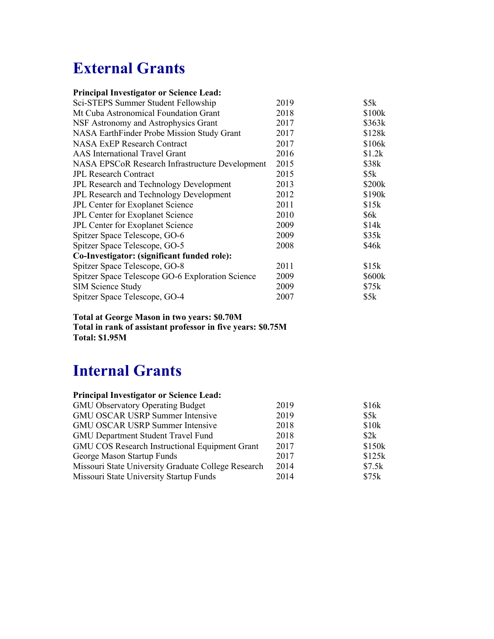## **External Grants**

|     |         | <b>Principal Investigator or Science Lead:</b> |  |  |
|-----|---------|------------------------------------------------|--|--|
| $-$ | _______ |                                                |  |  |

| Sci-STEPS Summer Student Fellowship              | 2019 | \$5k   |
|--------------------------------------------------|------|--------|
| Mt Cuba Astronomical Foundation Grant            | 2018 | \$100k |
| NSF Astronomy and Astrophysics Grant             | 2017 | \$363k |
| NASA EarthFinder Probe Mission Study Grant       | 2017 | \$128k |
| <b>NASA ExEP Research Contract</b>               | 2017 | \$106k |
| <b>AAS</b> International Travel Grant            | 2016 | \$1.2k |
| NASA EPSCoR Research Infrastructure Development  | 2015 | \$38k  |
| <b>JPL Research Contract</b>                     | 2015 | \$5k   |
| JPL Research and Technology Development          | 2013 | \$200k |
| JPL Research and Technology Development          | 2012 | \$190k |
| JPL Center for Exoplanet Science                 | 2011 | \$15k  |
| JPL Center for Exoplanet Science                 | 2010 | \$6k   |
| JPL Center for Exoplanet Science                 | 2009 | \$14k  |
| Spitzer Space Telescope, GO-6                    | 2009 | \$35k  |
| Spitzer Space Telescope, GO-5                    | 2008 | \$46k  |
| Co-Investigator: (significant funded role):      |      |        |
| Spitzer Space Telescope, GO-8                    | 2011 | \$15k  |
| Spitzer Space Telescope GO-6 Exploration Science | 2009 | \$600k |
| <b>SIM Science Study</b>                         | 2009 | \$75k  |
| Spitzer Space Telescope, GO-4                    | 2007 | \$5k   |

**Total at George Mason in two years: \$0.70M Total in rank of assistant professor in five years: \$0.75M Total: \$1.95M**

### **Internal Grants**

| <b>Principal Investigator or Science Lead:</b>        |      |        |
|-------------------------------------------------------|------|--------|
| <b>GMU Observatory Operating Budget</b>               | 2019 | \$16k  |
| <b>GMU OSCAR USRP Summer Intensive</b>                | 2019 | \$5k   |
| <b>GMU OSCAR USRP Summer Intensive</b>                | 2018 | \$10k  |
| <b>GMU Department Student Travel Fund</b>             | 2018 | \$2k   |
| <b>GMU COS Research Instructional Equipment Grant</b> | 2017 | \$150k |
| George Mason Startup Funds                            | 2017 | \$125k |
| Missouri State University Graduate College Research   | 2014 | \$7.5k |
| Missouri State University Startup Funds               | 2014 | \$75k  |
|                                                       |      |        |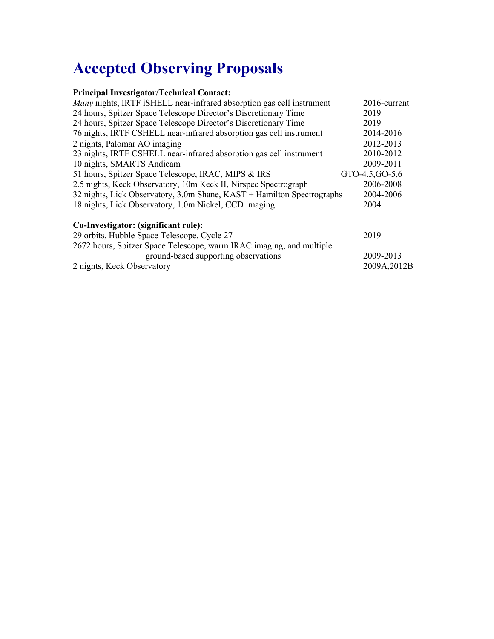# **Accepted Observing Proposals**

#### **Principal Investigator/Technical Contact:**

| Many nights, IRTF iSHELL near-infrared absorption gas cell instrument  | 2016-current     |
|------------------------------------------------------------------------|------------------|
| 24 hours, Spitzer Space Telescope Director's Discretionary Time        | 2019             |
| 24 hours, Spitzer Space Telescope Director's Discretionary Time        | 2019             |
| 76 nights, IRTF CSHELL near-infrared absorption gas cell instrument    | 2014-2016        |
| 2 nights, Palomar AO imaging                                           | 2012-2013        |
| 23 nights, IRTF CSHELL near-infrared absorption gas cell instrument    | 2010-2012        |
| 10 nights, SMARTS Andicam                                              | 2009-2011        |
| 51 hours, Spitzer Space Telescope, IRAC, MIPS & IRS                    | GTO-4,5, GO-5, 6 |
| 2.5 nights, Keck Observatory, 10m Keck II, Nirspec Spectrograph        | 2006-2008        |
| 32 nights, Lick Observatory, 3.0m Shane, KAST + Hamilton Spectrographs | 2004-2006        |
| 18 nights, Lick Observatory, 1.0m Nickel, CCD imaging                  | 2004             |
|                                                                        |                  |
| Co-Investigator: (significant role):                                   |                  |
| 29 orbits, Hubble Space Telescope, Cycle 27                            | 2019             |
| 2672 hours, Spitzer Space Telescope, warm IRAC imaging, and multiple   |                  |
| ground-based supporting observations                                   | 2009-2013        |
| 2 nights, Keck Observatory                                             | 2009A, 2012B     |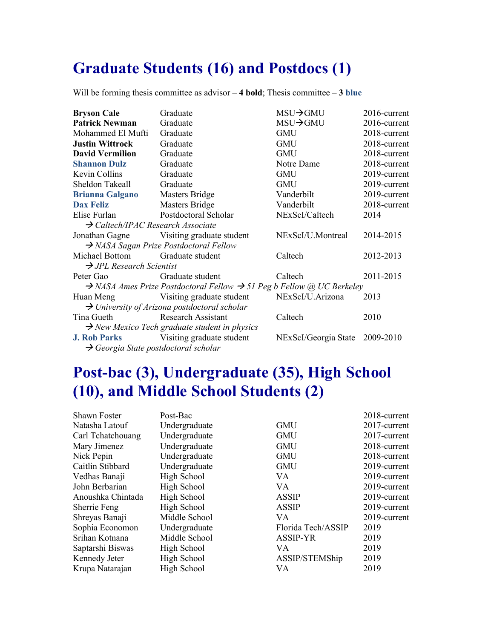### **Graduate Students (16) and Postdocs (1)**

Will be forming thesis committee as advisor – **4 bold**; Thesis committee – **3 blue**

| <b>Bryson Cale</b>                               | Graduate                                                                                      | MSU→GMU                        | 2016-current |
|--------------------------------------------------|-----------------------------------------------------------------------------------------------|--------------------------------|--------------|
| <b>Patrick Newman</b>                            | Graduate                                                                                      | $MSU \rightarrow GMU$          | 2016-current |
| Mohammed El Mufti                                | Graduate                                                                                      | <b>GMU</b>                     | 2018-current |
| <b>Justin Wittrock</b>                           | Graduate                                                                                      | <b>GMU</b>                     | 2018-current |
| <b>David Vermilion</b>                           | Graduate                                                                                      | <b>GMU</b>                     | 2018-current |
| <b>Shannon Dulz</b>                              | Graduate                                                                                      | Notre Dame                     | 2018-current |
| Kevin Collins                                    | Graduate                                                                                      | <b>GMU</b>                     | 2019-current |
| Sheldon Takeall                                  | Graduate                                                                                      | <b>GMU</b>                     | 2019-current |
| <b>Brianna Galgano</b>                           | <b>Masters Bridge</b>                                                                         | Vanderbilt                     | 2019-current |
| Dax Feliz                                        | <b>Masters Bridge</b>                                                                         | Vanderbilt                     | 2018-current |
| Elise Furlan                                     | Postdoctoral Scholar                                                                          | NExScI/Caltech                 | 2014         |
| $\rightarrow$ Caltech/IPAC Research Associate    |                                                                                               |                                |              |
|                                                  | Jonathan Gagne Visiting graduate student                                                      | NExScI/U.Montreal              | 2014-2015    |
|                                                  | $\rightarrow$ NASA Sagan Prize Postdoctoral Fellow                                            |                                |              |
| Michael Bottom Graduate student                  |                                                                                               | Caltech                        | 2012-2013    |
| $\rightarrow$ JPL Research Scientist             |                                                                                               |                                |              |
| Peter Gao                                        | Graduate student                                                                              | Caltech                        | 2011-2015    |
|                                                  | $\rightarrow$ NASA Ames Prize Postdoctoral Fellow $\rightarrow$ 51 Peg b Fellow @ UC Berkeley |                                |              |
|                                                  | Huan Meng Visiting graduate student                                                           | NExScI/U.Arizona               | 2013         |
|                                                  | $\rightarrow$ University of Arizona postdoctoral scholar                                      |                                |              |
| Tina Gueth Research Assistant                    |                                                                                               | Caltech                        | 2010         |
|                                                  | $\rightarrow$ New Mexico Tech graduate student in physics                                     |                                |              |
|                                                  | <b>J. Rob Parks</b> Visiting graduate student                                                 | NExScI/Georgia State 2009-2010 |              |
| $\rightarrow$ Georgia State postdoctoral scholar |                                                                                               |                                |              |

### **Post-bac (3), Undergraduate (35), High School (10), and Middle School Students (2)**

| <b>Shawn Foster</b> | Post-Bac      |                    | 2018-current |
|---------------------|---------------|--------------------|--------------|
| Natasha Latouf      | Undergraduate | <b>GMU</b>         | 2017-current |
| Carl Tchatchouang   | Undergraduate | <b>GMU</b>         | 2017-current |
| Mary Jimenez        | Undergraduate | <b>GMU</b>         | 2018-current |
| Nick Pepin          | Undergraduate | <b>GMU</b>         | 2018-current |
| Caitlin Stibbard    | Undergraduate | <b>GMU</b>         | 2019-current |
| Vedhas Banaji       | High School   | VA.                | 2019-current |
| John Berbarian      | High School   | VA.                | 2019-current |
| Anoushka Chintada   | High School   | <b>ASSIP</b>       | 2019-current |
| Sherrie Feng        | High School   | <b>ASSIP</b>       | 2019-current |
| Shreyas Banaji      | Middle School | VA.                | 2019-current |
| Sophia Economon     | Undergraduate | Florida Tech/ASSIP | 2019         |
| Srihan Kotnana      | Middle School | <b>ASSIP-YR</b>    | 2019         |
| Saptarshi Biswas    | High School   | VA.                | 2019         |
| Kennedy Jeter       | High School   | ASSIP/STEMShip     | 2019         |
| Krupa Natarajan     | High School   | VA.                | 2019         |
|                     |               |                    |              |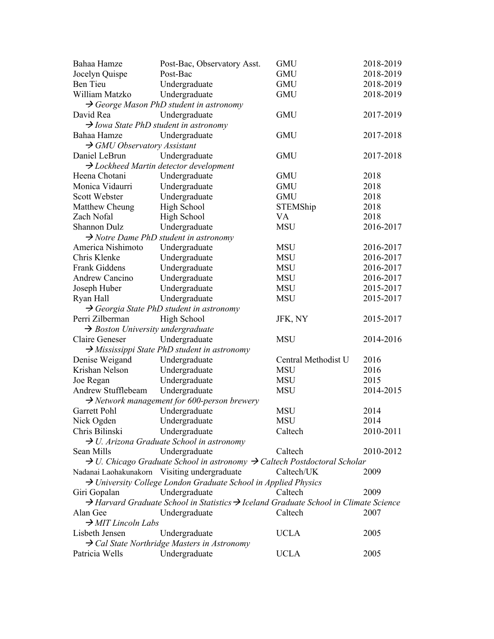| Bahaa Hamze                                             | Post-Bac, Observatory Asst.                                                                                  | <b>GMU</b>          | 2018-2019 |
|---------------------------------------------------------|--------------------------------------------------------------------------------------------------------------|---------------------|-----------|
| Jocelyn Quispe                                          | Post-Bac                                                                                                     | <b>GMU</b>          | 2018-2019 |
| Ben Tieu                                                | Undergraduate                                                                                                | <b>GMU</b>          | 2018-2019 |
| William Matzko                                          | Undergraduate                                                                                                | <b>GMU</b>          | 2018-2019 |
|                                                         | $\rightarrow$ George Mason PhD student in astronomy                                                          |                     |           |
| David Rea                                               | Undergraduate                                                                                                | <b>GMU</b>          | 2017-2019 |
| $\rightarrow$ Iowa State PhD student in astronomy       |                                                                                                              |                     |           |
| Bahaa Hamze                                             | Undergraduate                                                                                                | <b>GMU</b>          | 2017-2018 |
| $\rightarrow$ GMU Observatory Assistant                 |                                                                                                              |                     |           |
| Daniel LeBrun                                           | Undergraduate                                                                                                | <b>GMU</b>          | 2017-2018 |
|                                                         | $\rightarrow$ Lockheed Martin detector development                                                           |                     |           |
| Heena Chotani                                           | Undergraduate                                                                                                | <b>GMU</b>          | 2018      |
| Monica Vidaurri                                         | Undergraduate                                                                                                | <b>GMU</b>          | 2018      |
| Scott Webster                                           | Undergraduate                                                                                                | <b>GMU</b>          | 2018      |
| Matthew Cheung                                          | High School                                                                                                  | STEMShip            | 2018      |
| Zach Nofal                                              | High School                                                                                                  | VA                  | 2018      |
| Shannon Dulz                                            | Undergraduate                                                                                                | <b>MSU</b>          | 2016-2017 |
|                                                         | $\rightarrow$ Notre Dame PhD student in astronomy                                                            |                     |           |
| America Nishimoto                                       | Undergraduate                                                                                                | <b>MSU</b>          | 2016-2017 |
| Chris Klenke                                            | Undergraduate                                                                                                | <b>MSU</b>          | 2016-2017 |
| <b>Frank Giddens</b>                                    | Undergraduate                                                                                                | <b>MSU</b>          | 2016-2017 |
| Andrew Cancino                                          | Undergraduate                                                                                                | <b>MSU</b>          | 2016-2017 |
| Joseph Huber                                            | Undergraduate                                                                                                | <b>MSU</b>          | 2015-2017 |
| Ryan Hall                                               | Undergraduate                                                                                                | <b>MSU</b>          | 2015-2017 |
|                                                         | $\rightarrow$ Georgia State PhD student in astronomy                                                         |                     |           |
| Perri Zilberman                                         | High School                                                                                                  | JFK, NY             | 2015-2017 |
| $\rightarrow$ Boston University undergraduate           |                                                                                                              |                     |           |
| Claire Geneser                                          | Undergraduate                                                                                                | <b>MSU</b>          | 2014-2016 |
|                                                         | $\rightarrow$ Mississippi State PhD student in astronomy                                                     |                     |           |
| Denise Weigand                                          | Undergraduate                                                                                                | Central Methodist U | 2016      |
| Krishan Nelson                                          | Undergraduate                                                                                                | <b>MSU</b>          | 2016      |
| Joe Regan                                               | Undergraduate                                                                                                | <b>MSU</b>          | 2015      |
| Andrew Stufflebeam                                      | Undergraduate                                                                                                | <b>MSU</b>          | 2014-2015 |
|                                                         | $\rightarrow$ Network management for 600-person brewery                                                      |                     |           |
| Garrett Pohl                                            | Undergraduate                                                                                                | <b>MSU</b>          | 2014      |
| Nick Ogden                                              | Undergraduate                                                                                                | <b>MSU</b>          | 2014      |
| Chris Bilinski                                          | Undergraduate                                                                                                | Caltech             | 2010-2011 |
| $\rightarrow$ U. Arizona Graduate School in astronomy   |                                                                                                              |                     |           |
| Sean Mills                                              | Undergraduate                                                                                                | Caltech             | 2010-2012 |
|                                                         | $\rightarrow$ U. Chicago Graduate School in astronomy $\rightarrow$ Caltech Postdoctoral Scholar             |                     |           |
| Nadanai Laohakunakorn Visiting undergraduate            |                                                                                                              | Caltech/UK          | 2009      |
|                                                         | $\rightarrow$ University College London Graduate School in Applied Physics                                   |                     |           |
| Giri Gopalan                                            | Undergraduate                                                                                                | Caltech             | 2009      |
|                                                         | $\rightarrow$ Harvard Graduate School in Statistics $\rightarrow$ Iceland Graduate School in Climate Science |                     |           |
| Alan Gee                                                | Undergraduate                                                                                                | Caltech             | 2007      |
| $\rightarrow$ MIT Lincoln Labs                          |                                                                                                              |                     |           |
| Lisbeth Jensen<br><b>UCLA</b><br>2005<br>Undergraduate  |                                                                                                              |                     |           |
| $\rightarrow$ Cal State Northridge Masters in Astronomy |                                                                                                              |                     |           |
| Patricia Wells                                          | Undergraduate                                                                                                | <b>UCLA</b>         | 2005      |
|                                                         |                                                                                                              |                     |           |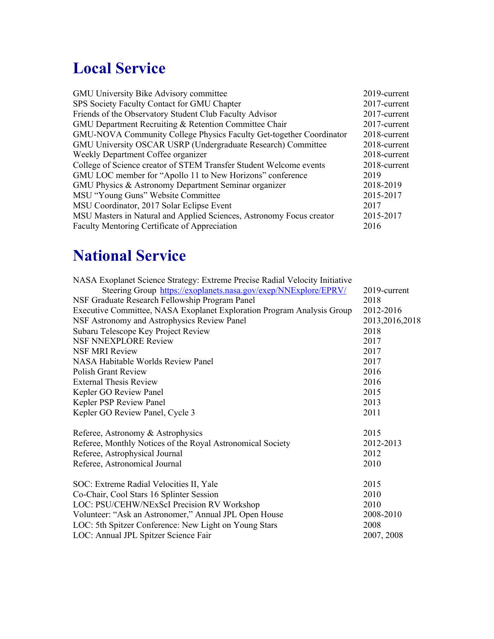# **Local Service**

| GMU University Bike Advisory committee                               | 2019-current |
|----------------------------------------------------------------------|--------------|
| SPS Society Faculty Contact for GMU Chapter                          | 2017-current |
| Friends of the Observatory Student Club Faculty Advisor              | 2017-current |
| GMU Department Recruiting & Retention Committee Chair                | 2017-current |
| GMU-NOVA Community College Physics Faculty Get-together Coordinator  | 2018-current |
| GMU University OSCAR USRP (Undergraduate Research) Committee         | 2018-current |
| Weekly Department Coffee organizer                                   | 2018-current |
| College of Science creator of STEM Transfer Student Welcome events   | 2018-current |
| GMU LOC member for "Apollo 11 to New Horizons" conference            | 2019         |
| GMU Physics & Astronomy Department Seminar organizer                 | 2018-2019    |
| MSU "Young Guns" Website Committee                                   | 2015-2017    |
| MSU Coordinator, 2017 Solar Eclipse Event                            | 2017         |
| MSU Masters in Natural and Applied Sciences, Astronomy Focus creator | 2015-2017    |
| Faculty Mentoring Certificate of Appreciation                        | 2016         |
|                                                                      |              |

## **National Service**

| NASA Exoplanet Science Strategy: Extreme Precise Radial Velocity Initiative |                |
|-----------------------------------------------------------------------------|----------------|
| Steering Group https://exoplanets.nasa.gov/exep/NNExplore/EPRV/             | 2019-current   |
| NSF Graduate Research Fellowship Program Panel                              | 2018           |
| Executive Committee, NASA Exoplanet Exploration Program Analysis Group      | 2012-2016      |
| NSF Astronomy and Astrophysics Review Panel                                 | 2013,2016,2018 |
| Subaru Telescope Key Project Review                                         | 2018           |
| <b>NSF NNEXPLORE Review</b>                                                 | 2017           |
| <b>NSF MRI Review</b>                                                       | 2017           |
| NASA Habitable Worlds Review Panel                                          | 2017           |
| <b>Polish Grant Review</b>                                                  | 2016           |
| <b>External Thesis Review</b>                                               | 2016           |
| Kepler GO Review Panel                                                      | 2015           |
| Kepler PSP Review Panel                                                     | 2013           |
| Kepler GO Review Panel, Cycle 3                                             | 2011           |
| Referee, Astronomy & Astrophysics                                           | 2015           |
| Referee, Monthly Notices of the Royal Astronomical Society                  | 2012-2013      |
| Referee, Astrophysical Journal                                              | 2012           |
| Referee, Astronomical Journal                                               | 2010           |
| SOC: Extreme Radial Velocities II, Yale                                     | 2015           |
| Co-Chair, Cool Stars 16 Splinter Session                                    | 2010           |
| LOC: PSU/CEHW/NExScI Precision RV Workshop                                  | 2010           |
| Volunteer: "Ask an Astronomer," Annual JPL Open House                       | 2008-2010      |
| LOC: 5th Spitzer Conference: New Light on Young Stars                       | 2008           |
| LOC: Annual JPL Spitzer Science Fair                                        | 2007, 2008     |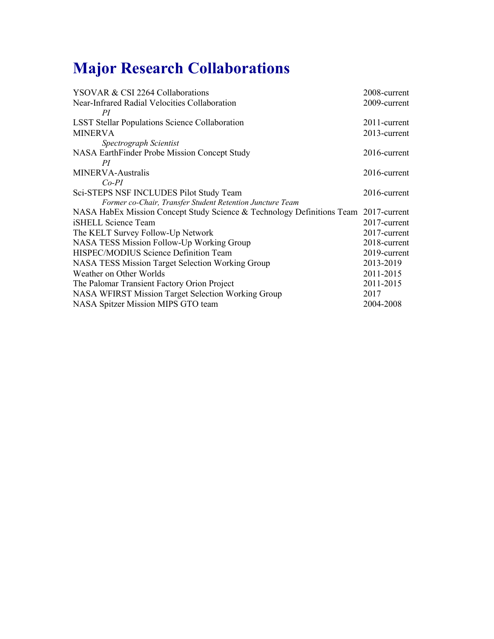# **Major Research Collaborations**

| YSOVAR & CSI 2264 Collaborations                                                    | 2008-current    |
|-------------------------------------------------------------------------------------|-----------------|
| Near-Infrared Radial Velocities Collaboration                                       | 2009-current    |
| PI                                                                                  |                 |
| <b>LSST Stellar Populations Science Collaboration</b>                               | 2011-current    |
| <b>MINERVA</b>                                                                      | 2013-current    |
| Spectrograph Scientist                                                              |                 |
| NASA EarthFinder Probe Mission Concept Study                                        | 2016-current    |
| PI                                                                                  |                 |
| MINERVA-Australis                                                                   | $2016$ -current |
| $Co-PI$                                                                             |                 |
| Sci-STEPS NSF INCLUDES Pilot Study Team                                             | $2016$ -current |
| Former co-Chair, Transfer Student Retention Juncture Team                           |                 |
| NASA HabEx Mission Concept Study Science & Technology Definitions Team 2017-current |                 |
| iSHELL Science Team                                                                 | 2017-current    |
| The KELT Survey Follow-Up Network                                                   | 2017-current    |
| NASA TESS Mission Follow-Up Working Group                                           | 2018-current    |
| HISPEC/MODIUS Science Definition Team                                               | 2019-current    |
| NASA TESS Mission Target Selection Working Group                                    | 2013-2019       |
| Weather on Other Worlds                                                             | 2011-2015       |
| The Palomar Transient Factory Orion Project                                         | 2011-2015       |
| NASA WFIRST Mission Target Selection Working Group                                  | 2017            |
| NASA Spitzer Mission MIPS GTO team                                                  | 2004-2008       |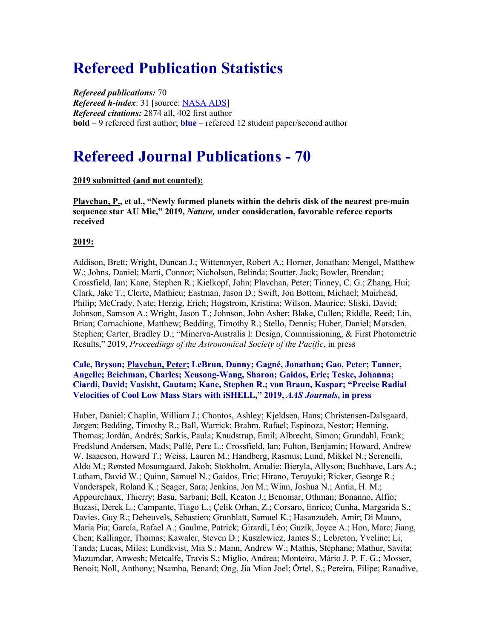### **Refereed Publication Statistics**

*Refereed publications:* 70 *Refereed h-index*: 31 [source: NASA ADS] *Refereed citations:* 2874 all, 402 first author **bold** – 9 refereed first author; **blue** – refereed 12 student paper/second author

### **Refereed Journal Publications - 70**

#### **2019 submitted (and not counted):**

**Plavchan, P., et al., "Newly formed planets within the debris disk of the nearest pre-main sequence star AU Mic," 2019,** *Nature,* **under consideration, favorable referee reports received**

#### **2019:**

Addison, Brett; Wright, Duncan J.; Wittenmyer, Robert A.; Horner, Jonathan; Mengel, Matthew W.; Johns, Daniel; Marti, Connor; Nicholson, Belinda; Soutter, Jack; Bowler, Brendan; Crossfield, Ian; Kane, Stephen R.; Kielkopf, John; Plavchan, Peter; Tinney, C. G.; Zhang, Hui; Clark, Jake T.; Clerte, Mathieu; Eastman, Jason D.; Swift, Jon Bottom, Michael; Muirhead, Philip; McCrady, Nate; Herzig, Erich; Hogstrom, Kristina; Wilson, Maurice; Sliski, David; Johnson, Samson A.; Wright, Jason T.; Johnson, John Asher; Blake, Cullen; Riddle, Reed; Lin, Brian; Cornachione, Matthew; Bedding, Timothy R.; Stello, Dennis; Huber, Daniel; Marsden, Stephen; Carter, Bradley D.; "Minerva-Australis I: Design, Commissioning, & First Photometric Results," 2019, *Proceedings of the Astronomical Society of the Pacific*, in press

#### **Cale, Bryson; Plavchan, Peter; LeBrun, Danny; Gagné, Jonathan; Gao, Peter; Tanner, Angelle; Beichman, Charles; Xeusong-Wang, Sharon; Gaidos, Eric; Teske, Johanna; Ciardi, David; Vasisht, Gautam; Kane, Stephen R.; von Braun, Kaspar; "Precise Radial Velocities of Cool Low Mass Stars with iSHELL," 2019,** *AAS Journals***, in press**

Huber, Daniel; Chaplin, William J.; Chontos, Ashley; Kjeldsen, Hans; Christensen-Dalsgaard, Jørgen; Bedding, Timothy R.; Ball, Warrick; Brahm, Rafael; Espinoza, Nestor; Henning, Thomas; Jordán, Andrés; Sarkis, Paula; Knudstrup, Emil; Albrecht, Simon; Grundahl, Frank; Fredslund Andersen, Mads; Pallé, Pere L.; Crossfield, Ian; Fulton, Benjamin; Howard, Andrew W. Isaacson, Howard T.; Weiss, Lauren M.; Handberg, Rasmus; Lund, Mikkel N.; Serenelli, Aldo M.; Rørsted Mosumgaard, Jakob; Stokholm, Amalie; Bieryla, Allyson; Buchhave, Lars A.; Latham, David W.; Quinn, Samuel N.; Gaidos, Eric; Hirano, Teruyuki; Ricker, George R.; Vanderspek, Roland K.; Seager, Sara; Jenkins, Jon M.; Winn, Joshua N.; Antia, H. M.; Appourchaux, Thierry; Basu, Sarbani; Bell, Keaton J.; Benomar, Othman; Bonanno, Alfio; Buzasi, Derek L.; Campante, Tiago L.; Çelik Orhan, Z.; Corsaro, Enrico; Cunha, Margarida S.; Davies, Guy R.; Deheuvels, Sebastien; Grunblatt, Samuel K.; Hasanzadeh, Amir; Di Mauro, Maria Pia; García, Rafael A.; Gaulme, Patrick; Girardi, Léo; Guzik, Joyce A.; Hon, Marc; Jiang, Chen; Kallinger, Thomas; Kawaler, Steven D.; Kuszlewicz, James S.; Lebreton, Yveline; Li, Tanda; Lucas, Miles; Lundkvist, Mia S.; Mann, Andrew W.; Mathis, Stéphane; Mathur, Savita; Mazumdar, Anwesh; Metcalfe, Travis S.; Miglio, Andrea; Monteiro, Mário J. P. F. G.; Mosser, Benoit; Noll, Anthony; Nsamba, Benard; Ong, Jia Mian Joel; Örtel, S.; Pereira, Filipe; Ranadive,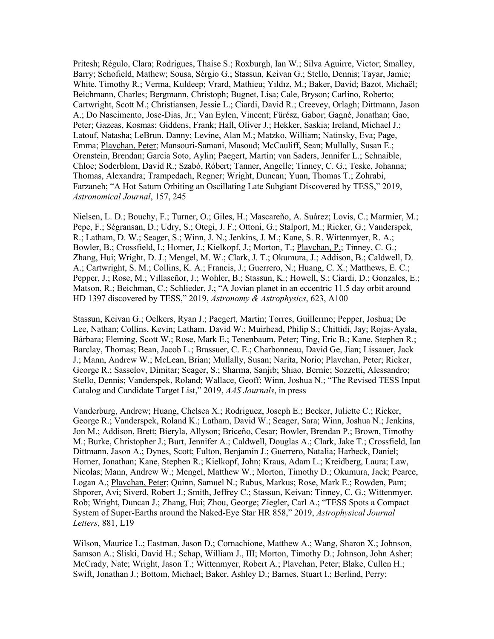Pritesh; Régulo, Clara; Rodrigues, Thaíse S.; Roxburgh, Ian W.; Silva Aguirre, Victor; Smalley, Barry; Schofield, Mathew; Sousa, Sérgio G.; Stassun, Keivan G.; Stello, Dennis; Tayar, Jamie; White, Timothy R.; Verma, Kuldeep; Vrard, Mathieu; Yıldız, M.; Baker, David; Bazot, Michaël; Beichmann, Charles; Bergmann, Christoph; Bugnet, Lisa; Cale, Bryson; Carlino, Roberto; Cartwright, Scott M.; Christiansen, Jessie L.; Ciardi, David R.; Creevey, Orlagh; Dittmann, Jason A.; Do Nascimento, Jose-Dias, Jr.; Van Eylen, Vincent; Fürész, Gabor; Gagné, Jonathan; Gao, Peter; Gazeas, Kosmas; Giddens, Frank; Hall, Oliver J.; Hekker, Saskia; Ireland, Michael J.; Latouf, Natasha; LeBrun, Danny; Levine, Alan M.; Matzko, William; Natinsky, Eva; Page, Emma; Plavchan, Peter; Mansouri-Samani, Masoud; McCauliff, Sean; Mullally, Susan E.; Orenstein, Brendan; Garcia Soto, Aylin; Paegert, Martin; van Saders, Jennifer L.; Schnaible, Chloe; Soderblom, David R.; Szabó, Róbert; Tanner, Angelle; Tinney, C. G.; Teske, Johanna; Thomas, Alexandra; Trampedach, Regner; Wright, Duncan; Yuan, Thomas T.; Zohrabi, Farzaneh; "A Hot Saturn Orbiting an Oscillating Late Subgiant Discovered by TESS," 2019, *Astronomical Journal*, 157, 245

Nielsen, L. D.; Bouchy, F.; Turner, O.; Giles, H.; Mascareño, A. Suárez; Lovis, C.; Marmier, M.; Pepe, F.; Ségransan, D.; Udry, S.; Otegi, J. F.; Ottoni, G.; Stalport, M.; Ricker, G.; Vanderspek, R.; Latham, D. W.; Seager, S.; Winn, J. N.; Jenkins, J. M.; Kane, S. R. Wittenmyer, R. A.; Bowler, B.; Crossfield, I.; Horner, J.; Kielkopf, J.; Morton, T.; Plavchan, P.; Tinney, C. G.; Zhang, Hui; Wright, D. J.; Mengel, M. W.; Clark, J. T.; Okumura, J.; Addison, B.; Caldwell, D. A.; Cartwright, S. M.; Collins, K. A.; Francis, J.; Guerrero, N.; Huang, C. X.; Matthews, E. C.; Pepper, J.; Rose, M.; Villaseñor, J.; Wohler, B.; Stassun, K.; Howell, S.; Ciardi, D.; Gonzales, E.; Matson, R.; Beichman, C.; Schlieder, J.; "A Jovian planet in an eccentric 11.5 day orbit around HD 1397 discovered by TESS," 2019, *Astronomy & Astrophysics*, 623, A100

Stassun, Keivan G.; Oelkers, Ryan J.; Paegert, Martin; Torres, Guillermo; Pepper, Joshua; De Lee, Nathan; Collins, Kevin; Latham, David W.; Muirhead, Philip S.; Chittidi, Jay; Rojas-Ayala, Bárbara; Fleming, Scott W.; Rose, Mark E.; Tenenbaum, Peter; Ting, Eric B.; Kane, Stephen R.; Barclay, Thomas; Bean, Jacob L.; Brassuer, C. E.; Charbonneau, David Ge, Jian; Lissauer, Jack J.; Mann, Andrew W.; McLean, Brian; Mullally, Susan; Narita, Norio; Plavchan, Peter; Ricker, George R.; Sasselov, Dimitar; Seager, S.; Sharma, Sanjib; Shiao, Bernie; Sozzetti, Alessandro; Stello, Dennis; Vanderspek, Roland; Wallace, Geoff; Winn, Joshua N.; "The Revised TESS Input Catalog and Candidate Target List," 2019, *AAS Journals*, in press

Vanderburg, Andrew; Huang, Chelsea X.; Rodriguez, Joseph E.; Becker, Juliette C.; Ricker, George R.; Vanderspek, Roland K.; Latham, David W.; Seager, Sara; Winn, Joshua N.; Jenkins, Jon M.; Addison, Brett; Bieryla, Allyson; Briceño, Cesar; Bowler, Brendan P.; Brown, Timothy M.; Burke, Christopher J.; Burt, Jennifer A.; Caldwell, Douglas A.; Clark, Jake T.; Crossfield, Ian Dittmann, Jason A.; Dynes, Scott; Fulton, Benjamin J.; Guerrero, Natalia; Harbeck, Daniel; Horner, Jonathan; Kane, Stephen R.; Kielkopf, John; Kraus, Adam L.; Kreidberg, Laura; Law, Nicolas; Mann, Andrew W.; Mengel, Matthew W.; Morton, Timothy D.; Okumura, Jack; Pearce, Logan A.; Plavchan, Peter; Quinn, Samuel N.; Rabus, Markus; Rose, Mark E.; Rowden, Pam; Shporer, Avi; Siverd, Robert J.; Smith, Jeffrey C.; Stassun, Keivan; Tinney, C. G.; Wittenmyer, Rob; Wright, Duncan J.; Zhang, Hui; Zhou, George; Ziegler, Carl A.; "TESS Spots a Compact System of Super-Earths around the Naked-Eye Star HR 858," 2019, *Astrophysical Journal Letters*, 881, L19

Wilson, Maurice L.; Eastman, Jason D.; Cornachione, Matthew A.; Wang, Sharon X.; Johnson, Samson A.; Sliski, David H.; Schap, William J., III; Morton, Timothy D.; Johnson, John Asher; McCrady, Nate; Wright, Jason T.; Wittenmyer, Robert A.; Plavchan, Peter; Blake, Cullen H.; Swift, Jonathan J.; Bottom, Michael; Baker, Ashley D.; Barnes, Stuart I.; Berlind, Perry;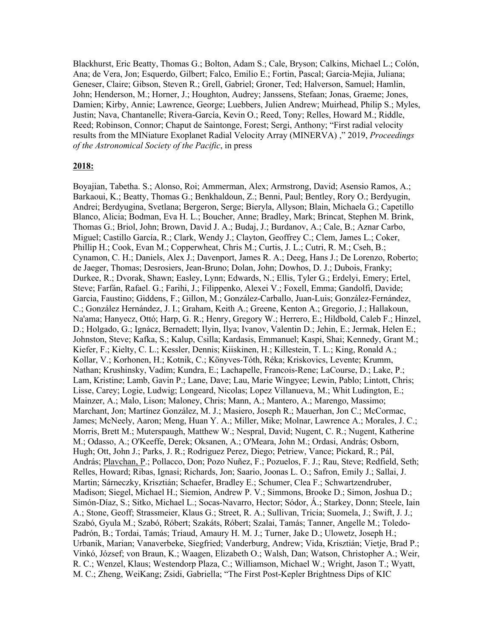Blackhurst, Eric Beatty, Thomas G.; Bolton, Adam S.; Cale, Bryson; Calkins, Michael L.; Colón, Ana; de Vera, Jon; Esquerdo, Gilbert; Falco, Emilio E.; Fortin, Pascal; Garcia-Mejia, Juliana; Geneser, Claire; Gibson, Steven R.; Grell, Gabriel; Groner, Ted; Halverson, Samuel; Hamlin, John; Henderson, M.; Horner, J.; Houghton, Audrey; Janssens, Stefaan; Jonas, Graeme; Jones, Damien; Kirby, Annie; Lawrence, George; Luebbers, Julien Andrew; Muirhead, Philip S.; Myles, Justin; Nava, Chantanelle; Rivera-García, Kevin O.; Reed, Tony; Relles, Howard M.; Riddle, Reed; Robinson, Connor; Chaput de Saintonge, Forest; Sergi, Anthony; "First radial velocity results from the MINiature Exoplanet Radial Velocity Array (MINERVA) ," 2019, *Proceedings of the Astronomical Society of the Pacific*, in press

#### **2018:**

Boyajian, Tabetha. S.; Alonso, Roi; Ammerman, Alex; Armstrong, David; Asensio Ramos, A.; Barkaoui, K.; Beatty, Thomas G.; Benkhaldoun, Z.; Benni, Paul; Bentley, Rory O.; Berdyugin, Andrei; Berdyugina, Svetlana; Bergeron, Serge; Bieryla, Allyson; Blain, Michaela G.; Capetillo Blanco, Alicia; Bodman, Eva H. L.; Boucher, Anne; Bradley, Mark; Brincat, Stephen M. Brink, Thomas G.; Briol, John; Brown, David J. A.; Budaj, J.; Burdanov, A.; Cale, B.; Aznar Carbo, Miguel; Castillo García, R.; Clark, Wendy J.; Clayton, Geoffrey C.; Clem, James L.; Coker, Phillip H.; Cook, Evan M.; Copperwheat, Chris M.; Curtis, J. L.; Cutri, R. M.; Cseh, B.; Cynamon, C. H.; Daniels, Alex J.; Davenport, James R. A.; Deeg, Hans J.; De Lorenzo, Roberto; de Jaeger, Thomas; Desrosiers, Jean-Bruno; Dolan, John; Dowhos, D. J.; Dubois, Franky; Durkee, R.; Dvorak, Shawn; Easley, Lynn; Edwards, N.; Ellis, Tyler G.; Erdelyi, Emery; Ertel, Steve; Farfán, Rafael. G.; Farihi, J.; Filippenko, Alexei V.; Foxell, Emma; Gandolfi, Davide; Garcia, Faustino; Giddens, F.; Gillon, M.; González-Carballo, Juan-Luis; González-Fernández, C.; González Hernández, J. I.; Graham, Keith A.; Greene, Kenton A.; Gregorio, J.; Hallakoun, Na'ama; Hanyecz, Ottó; Harp, G. R.; Henry, Gregory W.; Herrero, E.; Hildbold, Caleb F.; Hinzel, D.; Holgado, G.; Ignácz, Bernadett; Ilyin, Ilya; Ivanov, Valentin D.; Jehin, E.; Jermak, Helen E.; Johnston, Steve; Kafka, S.; Kalup, Csilla; Kardasis, Emmanuel; Kaspi, Shai; Kennedy, Grant M.; Kiefer, F.; Kielty, C. L.; Kessler, Dennis; Kiiskinen, H.; Killestein, T. L.; King, Ronald A.; Kollar, V.; Korhonen, H.; Kotnik, C.; Könyves-Tóth, Réka; Kriskovics, Levente; Krumm, Nathan; Krushinsky, Vadim; Kundra, E.; Lachapelle, Francois-Rene; LaCourse, D.; Lake, P.; Lam, Kristine; Lamb, Gavin P.; Lane, Dave; Lau, Marie Wingyee; Lewin, Pablo; Lintott, Chris; Lisse, Carey; Logie, Ludwig; Longeard, Nicolas; Lopez Villanueva, M.; Whit Ludington, E.; Mainzer, A.; Malo, Lison; Maloney, Chris; Mann, A.; Mantero, A.; Marengo, Massimo; Marchant, Jon; Martínez González, M. J.; Masiero, Joseph R.; Mauerhan, Jon C.; McCormac, James; McNeely, Aaron; Meng, Huan Y. A.; Miller, Mike; Molnar, Lawrence A.; Morales, J. C.; Morris, Brett M.; Muterspaugh, Matthew W.; Nespral, David; Nugent, C. R.; Nugent, Katherine M.; Odasso, A.; O'Keeffe, Derek; Oksanen, A.; O'Meara, John M.; Ordasi, András; Osborn, Hugh; Ott, John J.; Parks, J. R.; Rodriguez Perez, Diego; Petriew, Vance; Pickard, R.; Pál, András; Plavchan, P.; Pollacco, Don; Pozo Nuñez, F.; Pozuelos, F. J.; Rau, Steve; Redfield, Seth; Relles, Howard; Ribas, Ignasi; Richards, Jon; Saario, Joonas L. O.; Safron, Emily J.; Sallai, J. Martin; Sárneczky, Krisztián; Schaefer, Bradley E.; Schumer, Clea F.; Schwartzendruber, Madison; Siegel, Michael H.; Siemion, Andrew P. V.; Simmons, Brooke D.; Simon, Joshua D.; Simón-Díaz, S.; Sitko, Michael L.; Socas-Navarro, Hector; Sódor, Á.; Starkey, Donn; Steele, Iain A.; Stone, Geoff; Strassmeier, Klaus G.; Street, R. A.; Sullivan, Tricia; Suomela, J.; Swift, J. J.; Szabó, Gyula M.; Szabó, Róbert; Szakáts, Róbert; Szalai, Tamás; Tanner, Angelle M.; Toledo-Padrón, B.; Tordai, Tamás; Triaud, Amaury H. M. J.; Turner, Jake D.; Ulowetz, Joseph H.; Urbanik, Marian; Vanaverbeke, Siegfried; Vanderburg, Andrew; Vida, Krisztián; Vietje, Brad P.; Vinkó, József; von Braun, K.; Waagen, Elizabeth O.; Walsh, Dan; Watson, Christopher A.; Weir, R. C.; Wenzel, Klaus; Westendorp Plaza, C.; Williamson, Michael W.; Wright, Jason T.; Wyatt, M. C.; Zheng, WeiKang; Zsidi, Gabriella; "The First Post-Kepler Brightness Dips of KIC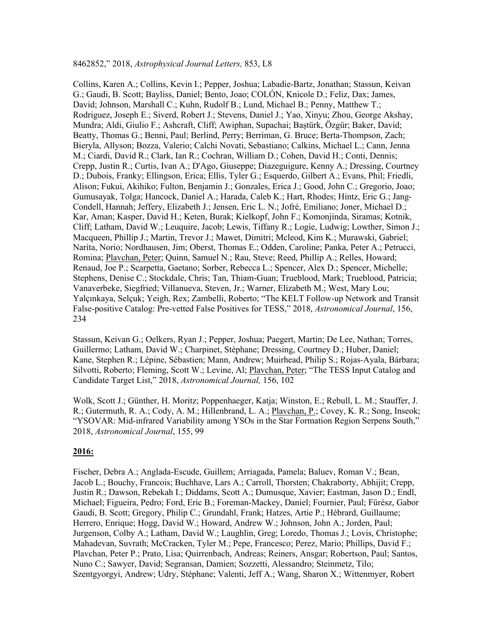Collins, Karen A.; Collins, Kevin I.; Pepper, Joshua; Labadie-Bartz, Jonathan; Stassun, Keivan G.; Gaudi, B. Scott; Bayliss, Daniel; Bento, Joao; COLÓN, Knicole D.; Feliz, Dax; James, David; Johnson, Marshall C.; Kuhn, Rudolf B.; Lund, Michael B.; Penny, Matthew T.; Rodriguez, Joseph E.; Siverd, Robert J.; Stevens, Daniel J.; Yao, Xinyu; Zhou, George Akshay, Mundra; Aldi, Giulio F.; Ashcraft, Cliff; Awiphan, Supachai; Baștürk, Özgür; Baker, David; Beatty, Thomas G.; Benni, Paul; Berlind, Perry; Berriman, G. Bruce; Berta-Thompson, Zach; Bieryla, Allyson; Bozza, Valerio; Calchi Novati, Sebastiano; Calkins, Michael L.; Cann, Jenna M.; Ciardi, David R.; Clark, Ian R.; Cochran, William D.; Cohen, David H.; Conti, Dennis; Crepp, Justin R.; Curtis, Ivan A.; D'Ago, Giuseppe; Diazeguigure, Kenny A.; Dressing, Courtney D.; Dubois, Franky; Ellingson, Erica; Ellis, Tyler G.; Esquerdo, Gilbert A.; Evans, Phil; Friedli, Alison; Fukui, Akihiko; Fulton, Benjamin J.; Gonzales, Erica J.; Good, John C.; Gregorio, Joao; Gumusayak, Tolga; Hancock, Daniel A.; Harada, Caleb K.; Hart, Rhodes; Hintz, Eric G.; Jang-Condell, Hannah; Jeffery, Elizabeth J.; Jensen, Eric L. N.; Jofré, Emiliano; Joner, Michael D.; Kar, Aman; Kasper, David H.; Keten, Burak; Kielkopf, John F.; Komonjinda, Siramas; Kotnik, Cliff; Latham, David W.; Leuquire, Jacob; Lewis, Tiffany R.; Logie, Ludwig; Lowther, Simon J.; Macqueen, Phillip J.; Martin, Trevor J.; Mawet, Dimitri; Mcleod, Kim K.; Murawski, Gabriel; Narita, Norio; Nordhausen, Jim; Oberst, Thomas E.; Odden, Caroline; Panka, Peter A.; Petrucci, Romina; Plavchan, Peter; Quinn, Samuel N.; Rau, Steve; Reed, Phillip A.; Relles, Howard; Renaud, Joe P.; Scarpetta, Gaetano; Sorber, Rebecca L.; Spencer, Alex D.; Spencer, Michelle; Stephens, Denise C.; Stockdale, Chris; Tan, Thiam-Guan; Trueblood, Mark; Trueblood, Patricia; Vanaverbeke, Siegfried; Villanueva, Steven, Jr.; Warner, Elizabeth M.; West, Mary Lou; Yalçınkaya, Selçuk; Yeigh, Rex; Zambelli, Roberto; "The KELT Follow-up Network and Transit False-positive Catalog: Pre-vetted False Positives for TESS," 2018, *Astronomical Journal*, 156, 234

Stassun, Keivan G.; Oelkers, Ryan J.; Pepper, Joshua; Paegert, Martin; De Lee, Nathan; Torres, Guillermo; Latham, David W.; Charpinet, Stéphane; Dressing, Courtney D.; Huber, Daniel; Kane, Stephen R.; Lépine, Sébastien; Mann, Andrew; Muirhead, Philip S.; Rojas-Ayala, Bárbara; Silvotti, Roberto; Fleming, Scott W.; Levine, Al; Plavchan, Peter; "The TESS Input Catalog and Candidate Target List," 2018, *Astronomical Journal,* 156, 102

Wolk, Scott J.; Günther, H. Moritz; Poppenhaeger, Katja; Winston, E.; Rebull, L. M.; Stauffer, J. R.; Gutermuth, R. A.; Cody, A. M.; Hillenbrand, L. A.; Plavchan, P.; Covey, K. R.; Song, Inseok; "YSOVAR: Mid-infrared Variability among YSOs in the Star Formation Region Serpens South," 2018, *Astronomical Journal*, 155, 99

#### **2016:**

Fischer, Debra A.; Anglada-Escude, Guillem; Arriagada, Pamela; Baluev, Roman V.; Bean, Jacob L.; Bouchy, Francois; Buchhave, Lars A.; Carroll, Thorsten; Chakraborty, Abhijit; Crepp, Justin R.; Dawson, Rebekah I.; Diddams, Scott A.; Dumusque, Xavier; Eastman, Jason D.; Endl, Michael; Figueira, Pedro; Ford, Eric B.; Foreman-Mackey, Daniel; Fournier, Paul; Fűrész, Gabor Gaudi, B. Scott; Gregory, Philip C.; Grundahl, Frank; Hatzes, Artie P.; Hébrard, Guillaume; Herrero, Enrique; Hogg, David W.; Howard, Andrew W.; Johnson, John A.; Jorden, Paul; Jurgenson, Colby A.; Latham, David W.; Laughlin, Greg; Loredo, Thomas J.; Lovis, Christophe; Mahadevan, Suvrath; McCracken, Tyler M.; Pepe, Francesco; Perez, Mario; Phillips, David F.; Plavchan, Peter P.; Prato, Lisa; Quirrenbach, Andreas; Reiners, Ansgar; Robertson, Paul; Santos, Nuno C.; Sawyer, David; Segransan, Damien; Sozzetti, Alessandro; Steinmetz, Tilo; Szentgyorgyi, Andrew; Udry, Stéphane; Valenti, Jeff A.; Wang, Sharon X.; Wittenmyer, Robert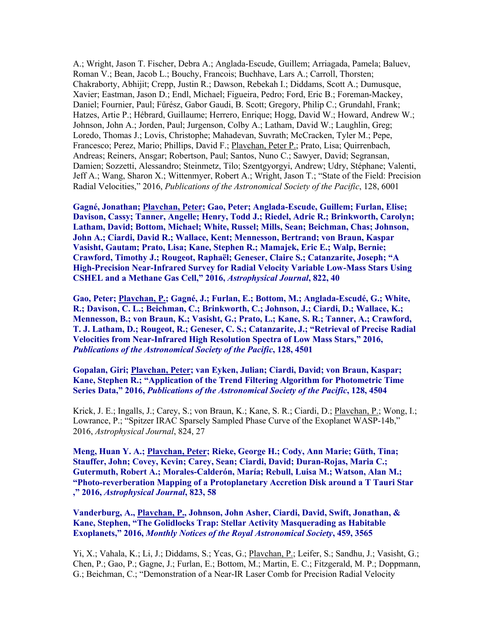A.; Wright, Jason T. Fischer, Debra A.; Anglada-Escude, Guillem; Arriagada, Pamela; Baluev, Roman V.; Bean, Jacob L.; Bouchy, Francois; Buchhave, Lars A.; Carroll, Thorsten; Chakraborty, Abhijit; Crepp, Justin R.; Dawson, Rebekah I.; Diddams, Scott A.; Dumusque, Xavier; Eastman, Jason D.; Endl, Michael; Figueira, Pedro; Ford, Eric B.; Foreman-Mackey, Daniel; Fournier, Paul; Fűrész, Gabor Gaudi, B. Scott; Gregory, Philip C.; Grundahl, Frank; Hatzes, Artie P.; Hébrard, Guillaume; Herrero, Enrique; Hogg, David W.; Howard, Andrew W.; Johnson, John A.; Jorden, Paul; Jurgenson, Colby A.; Latham, David W.; Laughlin, Greg; Loredo, Thomas J.; Lovis, Christophe; Mahadevan, Suvrath; McCracken, Tyler M.; Pepe, Francesco; Perez, Mario; Phillips, David F.; Plavchan, Peter P.; Prato, Lisa; Quirrenbach, Andreas; Reiners, Ansgar; Robertson, Paul; Santos, Nuno C.; Sawyer, David; Segransan, Damien; Sozzetti, Alessandro; Steinmetz, Tilo; Szentgyorgyi, Andrew; Udry, Stéphane; Valenti, Jeff A.; Wang, Sharon X.; Wittenmyer, Robert A.; Wright, Jason T.; "State of the Field: Precision Radial Velocities," 2016, *Publications of the Astronomical Society of the Pacific*, 128, 6001

**Gagné, Jonathan; Plavchan, Peter; Gao, Peter; Anglada-Escude, Guillem; Furlan, Elise; Davison, Cassy; Tanner, Angelle; Henry, Todd J.; Riedel, Adric R.; Brinkworth, Carolyn; Latham, David; Bottom, Michael; White, Russel; Mills, Sean; Beichman, Chas; Johnson, John A.; Ciardi, David R.; Wallace, Kent; Mennesson, Bertrand; von Braun, Kaspar Vasisht, Gautam; Prato, Lisa; Kane, Stephen R.; Mamajek, Eric E.; Walp, Bernie; Crawford, Timothy J.; Rougeot, Raphaël; Geneser, Claire S.; Catanzarite, Joseph; "A High-Precision Near-Infrared Survey for Radial Velocity Variable Low-Mass Stars Using CSHEL and a Methane Gas Cell," 2016,** *Astrophysical Journal***, 822, 40**

**Gao, Peter; Plavchan, P.; Gagné, J.; Furlan, E.; Bottom, M.; Anglada-Escudé, G.; White, R.; Davison, C. L.; Beichman, C.; Brinkworth, C.; Johnson, J.; Ciardi, D.; Wallace, K.; Mennesson, B.; von Braun, K.; Vasisht, G.; Prato, L.; Kane, S. R.; Tanner, A.; Crawford, T. J. Latham, D.; Rougeot, R.; Geneser, C. S.; Catanzarite, J.; "Retrieval of Precise Radial Velocities from Near-Infrared High Resolution Spectra of Low Mass Stars," 2016,**  *Publications of the Astronomical Society of the Pacific***, 128, 4501**

**Gopalan, Giri; Plavchan, Peter; van Eyken, Julian; Ciardi, David; von Braun, Kaspar; Kane, Stephen R.; "Application of the Trend Filtering Algorithm for Photometric Time Series Data," 2016,** *Publications of the Astronomical Society of the Pacific***, 128, 4504**

Krick, J. E.; Ingalls, J.; Carey, S.; von Braun, K.; Kane, S. R.; Ciardi, D.; Plavchan, P.; Wong, I.; Lowrance, P.; "Spitzer IRAC Sparsely Sampled Phase Curve of the Exoplanet WASP-14b," 2016, *Astrophysical Journal*, 824, 27

**Meng, Huan Y. A.; Plavchan, Peter; Rieke, George H.; Cody, Ann Marie; Güth, Tina; Stauffer, John; Covey, Kevin; Carey, Sean; Ciardi, David; Duran-Rojas, Maria C.; Gutermuth, Robert A.; Morales-Calderón, María; Rebull, Luisa M.; Watson, Alan M.; "Photo-reverberation Mapping of a Protoplanetary Accretion Disk around a T Tauri Star ," 2016,** *Astrophysical Journal***, 823, 58**

**Vanderburg, A., Plavchan, P., Johnson, John Asher, Ciardi, David, Swift, Jonathan, & Kane, Stephen, "The Golidlocks Trap: Stellar Activity Masquerading as Habitable Exoplanets," 2016,** *Monthly Notices of the Royal Astronomical Society***, 459, 3565**

Yi, X.; Vahala, K.; Li, J.; Diddams, S.; Ycas, G.; Plavchan, P.; Leifer, S.; Sandhu, J.; Vasisht, G.; Chen, P.; Gao, P.; Gagne, J.; Furlan, E.; Bottom, M.; Martin, E. C.; Fitzgerald, M. P.; Doppmann, G.; Beichman, C.; "Demonstration of a Near-IR Laser Comb for Precision Radial Velocity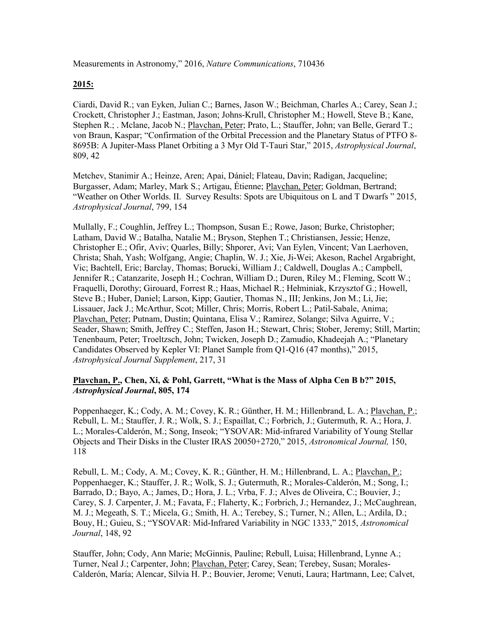Measurements in Astronomy," 2016, *Nature Communications*, 710436

#### **2015:**

Ciardi, David R.; van Eyken, Julian C.; Barnes, Jason W.; Beichman, Charles A.; Carey, Sean J.; Crockett, Christopher J.; Eastman, Jason; Johns-Krull, Christopher M.; Howell, Steve B.; Kane, Stephen R.; . Mclane, Jacob N.; Plavchan, Peter; Prato, L.; Stauffer, John; van Belle, Gerard T.; von Braun, Kaspar; "Confirmation of the Orbital Precession and the Planetary Status of PTFO 8- 8695B: A Jupiter-Mass Planet Orbiting a 3 Myr Old T-Tauri Star," 2015, *Astrophysical Journal*, 809, 42

Metchev, Stanimir A.; Heinze, Aren; Apai, Dániel; Flateau, Davin; Radigan, Jacqueline; Burgasser, Adam; Marley, Mark S.; Artigau, Étienne; Plavchan, Peter; Goldman, Bertrand; "Weather on Other Worlds. II. Survey Results: Spots are Ubiquitous on L and T Dwarfs " 2015, *Astrophysical Journal*, 799, 154

Mullally, F.; Coughlin, Jeffrey L.; Thompson, Susan E.; Rowe, Jason; Burke, Christopher; Latham, David W.; Batalha, Natalie M.; Bryson, Stephen T.; Christiansen, Jessie; Henze, Christopher E.; Ofir, Aviv; Quarles, Billy; Shporer, Avi; Van Eylen, Vincent; Van Laerhoven, Christa; Shah, Yash; Wolfgang, Angie; Chaplin, W. J.; Xie, Ji-Wei; Akeson, Rachel Argabright, Vic; Bachtell, Eric; Barclay, Thomas; Borucki, William J.; Caldwell, Douglas A.; Campbell, Jennifer R.; Catanzarite, Joseph H.; Cochran, William D.; Duren, Riley M.; Fleming, Scott W.; Fraquelli, Dorothy; Girouard, Forrest R.; Haas, Michael R.; Hełminiak, Krzysztof G.; Howell, Steve B.; Huber, Daniel; Larson, Kipp; Gautier, Thomas N., III; Jenkins, Jon M.; Li, Jie; Lissauer, Jack J.; McArthur, Scot; Miller, Chris; Morris, Robert L.; Patil-Sabale, Anima; Plavchan, Peter; Putnam, Dustin; Quintana, Elisa V.; Ramirez, Solange; Silva Aguirre, V.; Seader, Shawn; Smith, Jeffrey C.; Steffen, Jason H.; Stewart, Chris; Stober, Jeremy; Still, Martin; Tenenbaum, Peter; Troeltzsch, John; Twicken, Joseph D.; Zamudio, Khadeejah A.; "Planetary Candidates Observed by Kepler VI: Planet Sample from Q1-Q16 (47 months)," 2015, *Astrophysical Journal Supplement*, 217, 31

#### **Plavchan, P., Chen, Xi, & Pohl, Garrett, "What is the Mass of Alpha Cen B b?" 2015,**  *Astrophysical Journal***, 805, 174**

Poppenhaeger, K.; Cody, A. M.; Covey, K. R.; Günther, H. M.; Hillenbrand, L. A.; Plavchan, P.; Rebull, L. M.; Stauffer, J. R.; Wolk, S. J.; Espaillat, C.; Forbrich, J.; Gutermuth, R. A.; Hora, J. L.; Morales-Calderón, M.; Song, Inseok; "YSOVAR: Mid-infrared Variability of Young Stellar Objects and Their Disks in the Cluster IRAS 20050+2720," 2015, *Astronomical Journal,* 150, 118

Rebull, L. M.; Cody, A. M.; Covey, K. R.; Günther, H. M.; Hillenbrand, L. A.; Plavchan, P.; Poppenhaeger, K.; Stauffer, J. R.; Wolk, S. J.; Gutermuth, R.; Morales-Calderón, M.; Song, I.; Barrado, D.; Bayo, A.; James, D.; Hora, J. L.; Vrba, F. J.; Alves de Oliveira, C.; Bouvier, J.; Carey, S. J. Carpenter, J. M.; Favata, F.; Flaherty, K.; Forbrich, J.; Hernandez, J.; McCaughrean, M. J.; Megeath, S. T.; Micela, G.; Smith, H. A.; Terebey, S.; Turner, N.; Allen, L.; Ardila, D.; Bouy, H.; Guieu, S.; "YSOVAR: Mid-Infrared Variability in NGC 1333," 2015, *Astronomical Journal*, 148, 92

Stauffer, John; Cody, Ann Marie; McGinnis, Pauline; Rebull, Luisa; Hillenbrand, Lynne A.; Turner, Neal J.; Carpenter, John; Plavchan, Peter; Carey, Sean; Terebey, Susan; Morales-Calderón, María; Alencar, Silvia H. P.; Bouvier, Jerome; Venuti, Laura; Hartmann, Lee; Calvet,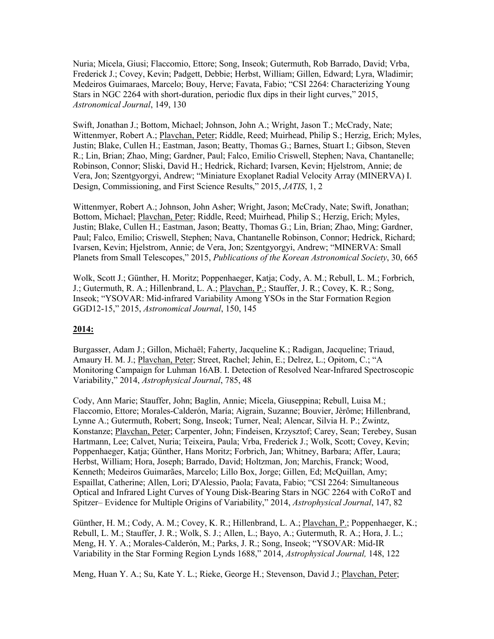Nuria; Micela, Giusi; Flaccomio, Ettore; Song, Inseok; Gutermuth, Rob Barrado, David; Vrba, Frederick J.; Covey, Kevin; Padgett, Debbie; Herbst, William; Gillen, Edward; Lyra, Wladimir; Medeiros Guimaraes, Marcelo; Bouy, Herve; Favata, Fabio; "CSI 2264: Characterizing Young Stars in NGC 2264 with short-duration, periodic flux dips in their light curves," 2015, *Astronomical Journal*, 149, 130

Swift, Jonathan J.; Bottom, Michael; Johnson, John A.; Wright, Jason T.; McCrady, Nate; Wittenmyer, Robert A.; Plavchan, Peter; Riddle, Reed; Muirhead, Philip S.; Herzig, Erich; Myles, Justin; Blake, Cullen H.; Eastman, Jason; Beatty, Thomas G.; Barnes, Stuart I.; Gibson, Steven R.; Lin, Brian; Zhao, Ming; Gardner, Paul; Falco, Emilio Criswell, Stephen; Nava, Chantanelle; Robinson, Connor; Sliski, David H.; Hedrick, Richard; Ivarsen, Kevin; Hjelstrom, Annie; de Vera, Jon; Szentgyorgyi, Andrew; "Miniature Exoplanet Radial Velocity Array (MINERVA) I. Design, Commissioning, and First Science Results," 2015, *JATIS*, 1, 2

Wittenmyer, Robert A.; Johnson, John Asher; Wright, Jason; McCrady, Nate; Swift, Jonathan; Bottom, Michael; Plavchan, Peter; Riddle, Reed; Muirhead, Philip S.; Herzig, Erich; Myles, Justin; Blake, Cullen H.; Eastman, Jason; Beatty, Thomas G.; Lin, Brian; Zhao, Ming; Gardner, Paul; Falco, Emilio; Criswell, Stephen; Nava, Chantanelle Robinson, Connor; Hedrick, Richard; Ivarsen, Kevin; Hjelstrom, Annie; de Vera, Jon; Szentgyorgyi, Andrew; "MINERVA: Small Planets from Small Telescopes," 2015, *Publications of the Korean Astronomical Society*, 30, 665

Wolk, Scott J.; Günther, H. Moritz; Poppenhaeger, Katja; Cody, A. M.; Rebull, L. M.; Forbrich, J.; Gutermuth, R. A.; Hillenbrand, L. A.; Plavchan, P.; Stauffer, J. R.; Covey, K. R.; Song, Inseok; "YSOVAR: Mid-infrared Variability Among YSOs in the Star Formation Region GGD12-15," 2015, *Astronomical Journal*, 150, 145

#### **2014:**

Burgasser, Adam J.; Gillon, Michaël; Faherty, Jacqueline K.; Radigan, Jacqueline; Triaud, Amaury H. M. J.; Plavchan, Peter; Street, Rachel; Jehin, E.; Delrez, L.; Opitom, C.; "A Monitoring Campaign for Luhman 16AB. I. Detection of Resolved Near-Infrared Spectroscopic Variability," 2014, *Astrophysical Journal*, 785, 48

Cody, Ann Marie; Stauffer, John; Baglin, Annie; Micela, Giuseppina; Rebull, Luisa M.; Flaccomio, Ettore; Morales-Calderón, María; Aigrain, Suzanne; Bouvier, Jèrôme; Hillenbrand, Lynne A.; Gutermuth, Robert; Song, Inseok; Turner, Neal; Alencar, Silvia H. P.; Zwintz, Konstanze; Plavchan, Peter; Carpenter, John; Findeisen, Krzysztof; Carey, Sean; Terebey, Susan Hartmann, Lee; Calvet, Nuria; Teixeira, Paula; Vrba, Frederick J.; Wolk, Scott; Covey, Kevin; Poppenhaeger, Katja; Günther, Hans Moritz; Forbrich, Jan; Whitney, Barbara; Affer, Laura; Herbst, William; Hora, Joseph; Barrado, David; Holtzman, Jon; Marchis, Franck; Wood, Kenneth; Medeiros Guimarães, Marcelo; Lillo Box, Jorge; Gillen, Ed; McQuillan, Amy; Espaillat, Catherine; Allen, Lori; D'Alessio, Paola; Favata, Fabio; "CSI 2264: Simultaneous Optical and Infrared Light Curves of Young Disk-Bearing Stars in NGC 2264 with CoRoT and Spitzer– Evidence for Multiple Origins of Variability," 2014, *Astrophysical Journal*, 147, 82

Günther, H. M.; Cody, A. M.; Covey, K. R.; Hillenbrand, L. A.; Plavchan, P.; Poppenhaeger, K.; Rebull, L. M.; Stauffer, J. R.; Wolk, S. J.; Allen, L.; Bayo, A.; Gutermuth, R. A.; Hora, J. L.; Meng, H. Y. A.; Morales-Calderón, M.; Parks, J. R.; Song, Inseok; "YSOVAR: Mid-IR Variability in the Star Forming Region Lynds 1688," 2014, *Astrophysical Journal,* 148, 122

Meng, Huan Y. A.; Su, Kate Y. L.; Rieke, George H.; Stevenson, David J.; Plavchan, Peter;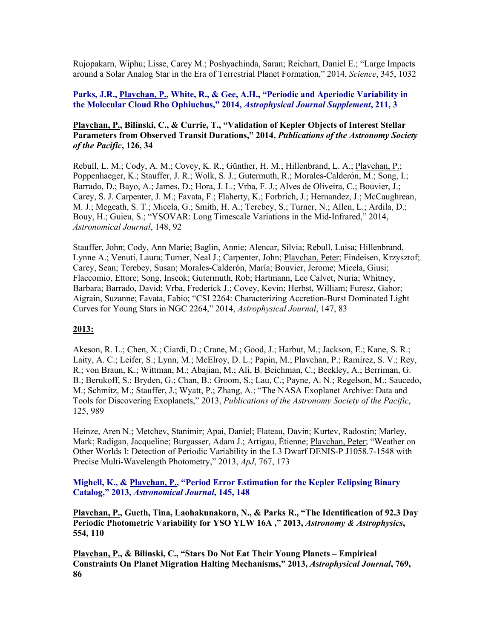Rujopakarn, Wiphu; Lisse, Carey M.; Poshyachinda, Saran; Reichart, Daniel E.; "Large Impacts around a Solar Analog Star in the Era of Terrestrial Planet Formation," 2014, *Science*, 345, 1032

#### **Parks, J.R., Plavchan, P., White, R., & Gee, A.H., "Periodic and Aperiodic Variability in the Molecular Cloud Rho Ophiuchus," 2014,** *Astrophysical Journal Supplement***, 211, 3**

#### **Plavchan, P., Bilinski, C., & Currie, T., "Validation of Kepler Objects of Interest Stellar Parameters from Observed Transit Durations," 2014,** *Publications of the Astronomy Society of the Pacific***, 126, 34**

Rebull, L. M.; Cody, A. M.; Covey, K. R.; Günther, H. M.; Hillenbrand, L. A.; Plavchan, P.; Poppenhaeger, K.; Stauffer, J. R.; Wolk, S. J.; Gutermuth, R.; Morales-Calderón, M.; Song, I.; Barrado, D.; Bayo, A.; James, D.; Hora, J. L.; Vrba, F. J.; Alves de Oliveira, C.; Bouvier, J.; Carey, S. J. Carpenter, J. M.; Favata, F.; Flaherty, K.; Forbrich, J.; Hernandez, J.; McCaughrean, M. J.; Megeath, S. T.; Micela, G.; Smith, H. A.; Terebey, S.; Turner, N.; Allen, L.; Ardila, D.; Bouy, H.; Guieu, S.; "YSOVAR: Long Timescale Variations in the Mid-Infrared," 2014, *Astronomical Journal*, 148, 92

Stauffer, John; Cody, Ann Marie; Baglin, Annie; Alencar, Silvia; Rebull, Luisa; Hillenbrand, Lynne A.; Venuti, Laura; Turner, Neal J.; Carpenter, John; Plavchan, Peter; Findeisen, Krzysztof; Carey, Sean; Terebey, Susan; Morales-Calderón, María; Bouvier, Jerome; Micela, Giusi; Flaccomio, Ettore; Song, Inseok; Gutermuth, Rob; Hartmann, Lee Calvet, Nuria; Whitney, Barbara; Barrado, David; Vrba, Frederick J.; Covey, Kevin; Herbst, William; Furesz, Gabor; Aigrain, Suzanne; Favata, Fabio; "CSI 2264: Characterizing Accretion-Burst Dominated Light Curves for Young Stars in NGC 2264," 2014, *Astrophysical Journal*, 147, 83

#### **2013:**

Akeson, R. L.; Chen, X.; Ciardi, D.; Crane, M.; Good, J.; Harbut, M.; Jackson, E.; Kane, S. R.; Laity, A. C.; Leifer, S.; Lynn, M.; McElroy, D. L.; Papin, M.; Plavchan, P.; Ramírez, S. V.; Rey, R.; von Braun, K.; Wittman, M.; Abajian, M.; Ali, B. Beichman, C.; Beekley, A.; Berriman, G. B.; Berukoff, S.; Bryden, G.; Chan, B.; Groom, S.; Lau, C.; Payne, A. N.; Regelson, M.; Saucedo, M.; Schmitz, M.; Stauffer, J.; Wyatt, P.; Zhang, A.; "The NASA Exoplanet Archive: Data and Tools for Discovering Exoplanets," 2013, *Publications of the Astronomy Society of the Pacific*, 125, 989

Heinze, Aren N.; Metchev, Stanimir; Apai, Daniel; Flateau, Davin; Kurtev, Radostin; Marley, Mark; Radigan, Jacqueline; Burgasser, Adam J.; Artigau, Étienne; Plavchan, Peter; "Weather on Other Worlds I: Detection of Periodic Variability in the L3 Dwarf DENIS-P J1058.7-1548 with Precise Multi-Wavelength Photometry," 2013, *ApJ*, 767, 173

#### **Mighell, K., & Plavchan, P., "Period Error Estimation for the Kepler Eclipsing Binary Catalog," 2013,** *Astronomical Journal***, 145, 148**

**Plavchan, P., Gueth, Tina, Laohakunakorn, N., & Parks R., "The Identification of 92.3 Day Periodic Photometric Variability for YSO YLW 16A ," 2013,** *Astronomy & Astrophysics***, 554, 110**

**Plavchan, P., & Bilinski, C., "Stars Do Not Eat Their Young Planets – Empirical Constraints On Planet Migration Halting Mechanisms," 2013,** *Astrophysical Journal***, 769, 86**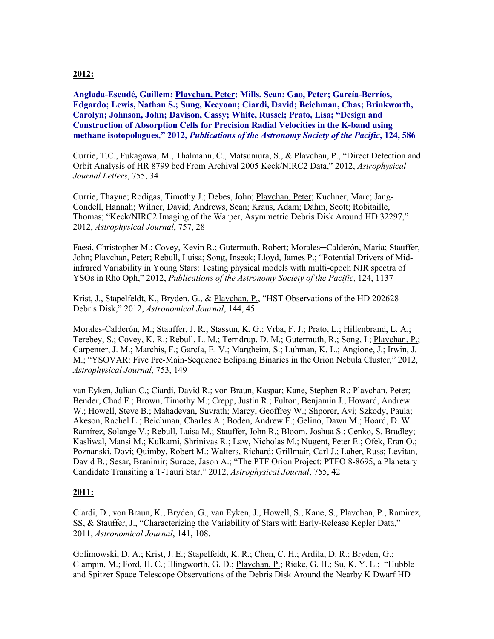#### **2012:**

**Anglada-Escudé, Guillem; Plavchan, Peter; Mills, Sean; Gao, Peter; García-Berríos, Edgardo; Lewis, Nathan S.; Sung, Keeyoon; Ciardi, David; Beichman, Chas; Brinkworth, Carolyn; Johnson, John; Davison, Cassy; White, Russel; Prato, Lisa; "Design and Construction of Absorption Cells for Precision Radial Velocities in the K-band using methane isotopologues," 2012,** *Publications of the Astronomy Society of the Pacific***, 124, 586**

Currie, T.C., Fukagawa, M., Thalmann, C., Matsumura, S., & Plavchan, P., "Direct Detection and Orbit Analysis of HR 8799 bcd From Archival 2005 Keck/NIRC2 Data," 2012, *Astrophysical Journal Letters*, 755, 34

Currie, Thayne; Rodigas, Timothy J.; Debes, John; Plavchan, Peter; Kuchner, Marc; Jang-Condell, Hannah; Wilner, David; Andrews, Sean; Kraus, Adam; Dahm, Scott; Robitaille, Thomas; "Keck/NIRC2 Imaging of the Warper, Asymmetric Debris Disk Around HD 32297," 2012, *Astrophysical Journal*, 757, 28

Faesi, Christopher M.; Covey, Kevin R.; Gutermuth, Robert; Morales─Calderón, Maria; Stauffer, John; Plavchan, Peter; Rebull, Luisa; Song, Inseok; Lloyd, James P.; "Potential Drivers of Midinfrared Variability in Young Stars: Testing physical models with multi-epoch NIR spectra of YSOs in Rho Oph," 2012, *Publications of the Astronomy Society of the Pacific*, 124, 1137

Krist, J., Stapelfeldt, K., Bryden, G., & Plavchan, P., "HST Observations of the HD 202628 Debris Disk," 2012, *Astronomical Journal*, 144, 45

Morales-Calderón, M.; Stauffer, J. R.; Stassun, K. G.; Vrba, F. J.; Prato, L.; Hillenbrand, L. A.; Terebey, S.; Covey, K. R.; Rebull, L. M.; Terndrup, D. M.; Gutermuth, R.; Song, I.; Plavchan, P.; Carpenter, J. M.; Marchis, F.; García, E. V.; Margheim, S.; Luhman, K. L.; Angione, J.; Irwin, J. M.; "YSOVAR: Five Pre-Main-Sequence Eclipsing Binaries in the Orion Nebula Cluster," 2012, *Astrophysical Journal*, 753, 149

van Eyken, Julian C.; Ciardi, David R.; von Braun, Kaspar; Kane, Stephen R.; Plavchan, Peter; Bender, Chad F.; Brown, Timothy M.; Crepp, Justin R.; Fulton, Benjamin J.; Howard, Andrew W.; Howell, Steve B.; Mahadevan, Suvrath; Marcy, Geoffrey W.; Shporer, Avi; Szkody, Paula; Akeson, Rachel L.; Beichman, Charles A.; Boden, Andrew F.; Gelino, Dawn M.; Hoard, D. W. Ramírez, Solange V.; Rebull, Luisa M.; Stauffer, John R.; Bloom, Joshua S.; Cenko, S. Bradley; Kasliwal, Mansi M.; Kulkarni, Shrinivas R.; Law, Nicholas M.; Nugent, Peter E.; Ofek, Eran O.; Poznanski, Dovi; Quimby, Robert M.; Walters, Richard; Grillmair, Carl J.; Laher, Russ; Levitan, David B.; Sesar, Branimir; Surace, Jason A.; "The PTF Orion Project: PTFO 8-8695, a Planetary Candidate Transiting a T-Tauri Star," 2012, *Astrophysical Journal*, 755, 42

#### **2011:**

Ciardi, D., von Braun, K., Bryden, G., van Eyken, J., Howell, S., Kane, S., Plavchan, P., Ramirez, SS, & Stauffer, J., "Characterizing the Variability of Stars with Early-Release Kepler Data," 2011, *Astronomical Journal*, 141, 108.

Golimowski, D. A.; Krist, J. E.; Stapelfeldt, K. R.; Chen, C. H.; Ardila, D. R.; Bryden, G.; Clampin, M.; Ford, H. C.; Illingworth, G. D.; Plavchan, P.; Rieke, G. H.; Su, K. Y. L.; "Hubble and Spitzer Space Telescope Observations of the Debris Disk Around the Nearby K Dwarf HD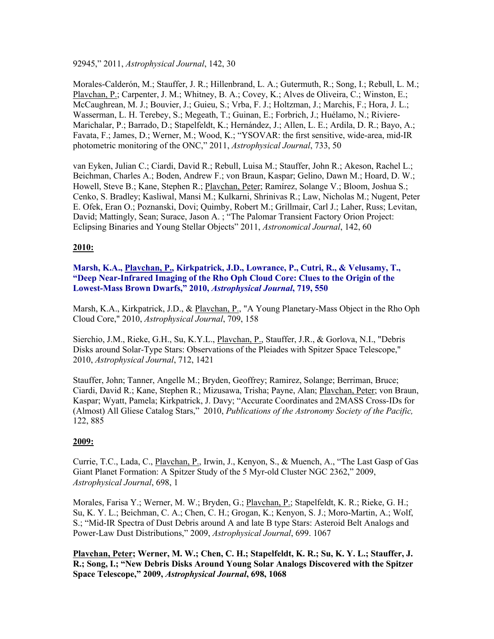92945," 2011, *Astrophysical Journal*, 142, 30

Morales-Calderón, M.; Stauffer, J. R.; Hillenbrand, L. A.; Gutermuth, R.; Song, I.; Rebull, L. M.; Plavchan, P.; Carpenter, J. M.; Whitney, B. A.; Covey, K.; Alves de Oliveira, C.; Winston, E.; McCaughrean, M. J.; Bouvier, J.; Guieu, S.; Vrba, F. J.; Holtzman, J.; Marchis, F.; Hora, J. L.; Wasserman, L. H. Terebey, S.; Megeath, T.; Guinan, E.; Forbrich, J.; Huélamo, N.; Riviere-Marichalar, P.; Barrado, D.; Stapelfeldt, K.; Hernández, J.; Allen, L. E.; Ardila, D. R.; Bayo, A.; Favata, F.; James, D.; Werner, M.; Wood, K.; "YSOVAR: the first sensitive, wide-area, mid-IR photometric monitoring of the ONC," 2011, *Astrophysical Journal*, 733, 50

van Eyken, Julian C.; Ciardi, David R.; Rebull, Luisa M.; Stauffer, John R.; Akeson, Rachel L.; Beichman, Charles A.; Boden, Andrew F.; von Braun, Kaspar; Gelino, Dawn M.; Hoard, D. W.; Howell, Steve B.; Kane, Stephen R.; Plavchan, Peter; Ramírez, Solange V.; Bloom, Joshua S.; Cenko, S. Bradley; Kasliwal, Mansi M.; Kulkarni, Shrinivas R.; Law, Nicholas M.; Nugent, Peter E. Ofek, Eran O.; Poznanski, Dovi; Quimby, Robert M.; Grillmair, Carl J.; Laher, Russ; Levitan, David; Mattingly, Sean; Surace, Jason A. ; "The Palomar Transient Factory Orion Project: Eclipsing Binaries and Young Stellar Objects" 2011, *Astronomical Journal*, 142, 60

#### **2010:**

**Marsh, K.A., Plavchan, P., Kirkpatrick, J.D., Lowrance, P., Cutri, R., & Velusamy, T., "Deep Near-Infrared Imaging of the Rho Oph Cloud Core: Clues to the Origin of the Lowest-Mass Brown Dwarfs," 2010,** *Astrophysical Journal***, 719, 550**

Marsh, K.A., Kirkpatrick, J.D., & Plavchan, P., "A Young Planetary-Mass Object in the Rho Oph Cloud Core," 2010, *Astrophysical Journal*, 709, 158

Sierchio, J.M., Rieke, G.H., Su, K.Y.L., Plavchan, P., Stauffer, J.R., & Gorlova, N.I., "Debris Disks around Solar-Type Stars: Observations of the Pleiades with Spitzer Space Telescope," 2010, *Astrophysical Journal*, 712, 1421

Stauffer, John; Tanner, Angelle M.; Bryden, Geoffrey; Ramirez, Solange; Berriman, Bruce; Ciardi, David R.; Kane, Stephen R.; Mizusawa, Trisha; Payne, Alan; Plavchan, Peter; von Braun, Kaspar; Wyatt, Pamela; Kirkpatrick, J. Davy; "Accurate Coordinates and 2MASS Cross-IDs for (Almost) All Gliese Catalog Stars," 2010, *Publications of the Astronomy Society of the Pacific,* 122, 885

#### **2009:**

Currie, T.C., Lada, C., Plavchan, P., Irwin, J., Kenyon, S., & Muench, A., "The Last Gasp of Gas Giant Planet Formation: A Spitzer Study of the 5 Myr-old Cluster NGC 2362," 2009, *Astrophysical Journal*, 698, 1

Morales, Farisa Y.; Werner, M. W.; Bryden, G.; Plavchan, P.; Stapelfeldt, K. R.; Rieke, G. H.; Su, K. Y. L.; Beichman, C. A.; Chen, C. H.; Grogan, K.; Kenyon, S. J.; Moro-Martin, A.; Wolf, S.; "Mid-IR Spectra of Dust Debris around A and late B type Stars: Asteroid Belt Analogs and Power-Law Dust Distributions," 2009, *Astrophysical Journal*, 699. 1067

**Plavchan, Peter; Werner, M. W.; Chen, C. H.; Stapelfeldt, K. R.; Su, K. Y. L.; Stauffer, J. R.; Song, I.; "New Debris Disks Around Young Solar Analogs Discovered with the Spitzer Space Telescope," 2009,** *Astrophysical Journal***, 698, 1068**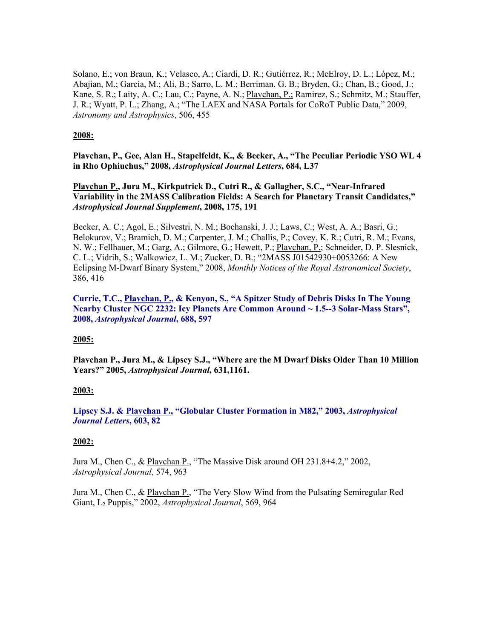Solano, E.; von Braun, K.; Velasco, A.; Ciardi, D. R.; Gutiérrez, R.; McElroy, D. L.; López, M.; Abajian, M.; García, M.; Ali, B.; Sarro, L. M.; Berriman, G. B.; Bryden, G.; Chan, B.; Good, J.; Kane, S. R.; Laity, A. C.; Lau, C.; Payne, A. N.; Plavchan, P.; Ramirez, S.; Schmitz, M.; Stauffer, J. R.; Wyatt, P. L.; Zhang, A.; "The LAEX and NASA Portals for CoRoT Public Data," 2009, *Astronomy and Astrophysics*, 506, 455

#### **2008:**

**Plavchan, P., Gee, Alan H., Stapelfeldt, K., & Becker, A., "The Peculiar Periodic YSO WL 4 in Rho Ophiuchus," 2008,** *Astrophysical Journal Letters***, 684, L37**

**Plavchan P., Jura M., Kirkpatrick D., Cutri R., & Gallagher, S.C., "Near-Infrared Variability in the 2MASS Calibration Fields: A Search for Planetary Transit Candidates,"**  *Astrophysical Journal Supplement***, 2008, 175, 191**

Becker, A. C.; Agol, E.; Silvestri, N. M.; Bochanski, J. J.; Laws, C.; West, A. A.; Basri, G.; Belokurov, V.; Bramich, D. M.; Carpenter, J. M.; Challis, P.; Covey, K. R.; Cutri, R. M.; Evans, N. W.; Fellhauer, M.; Garg, A.; Gilmore, G.; Hewett, P.; Plavchan, P.; Schneider, D. P. Slesnick, C. L.; Vidrih, S.; Walkowicz, L. M.; Zucker, D. B.; "2MASS J01542930+0053266: A New Eclipsing M-Dwarf Binary System," 2008, *Monthly Notices of the Royal Astronomical Society*, 386, 416

**Currie, T.C., Plavchan, P., & Kenyon, S., "A Spitzer Study of Debris Disks In The Young Nearby Cluster NGC 2232: Icy Planets Are Common Around ~ 1.5--3 Solar-Mass Stars", 2008,** *Astrophysical Journal***, 688, 597**

#### **2005:**

**Plavchan P., Jura M., & Lipscy S.J., "Where are the M Dwarf Disks Older Than 10 Million Years?" 2005,** *Astrophysical Journal***, 631,1161.**

#### **2003:**

**Lipscy S.J. & Plavchan P., "Globular Cluster Formation in M82," 2003,** *Astrophysical Journal Letters***, 603, 82**

#### **2002:**

Jura M., Chen C., & Plavchan P., "The Massive Disk around OH 231.8+4.2," 2002, *Astrophysical Journal*, 574, 963

Jura M., Chen C., & Plavchan P., "The Very Slow Wind from the Pulsating Semiregular Red Giant, L2 Puppis," 2002, *Astrophysical Journal*, 569, 964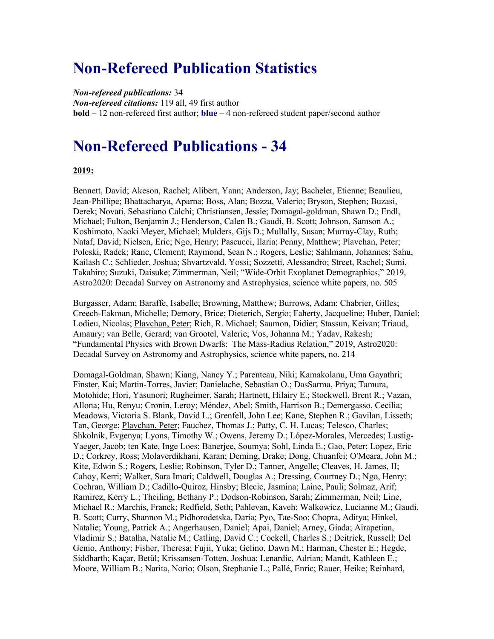### **Non-Refereed Publication Statistics**

*Non-refereed publications:* 34 *Non-refereed citations:* 119 all, 49 first author **bold** – 12 non-refereed first author; **blue** – 4 non-refereed student paper/second author

### **Non-Refereed Publications - 34**

#### **2019:**

Bennett, David; Akeson, Rachel; Alibert, Yann; Anderson, Jay; Bachelet, Etienne; Beaulieu, Jean-Phillipe; Bhattacharya, Aparna; Boss, Alan; Bozza, Valerio; Bryson, Stephen; Buzasi, Derek; Novati, Sebastiano Calchi; Christiansen, Jessie; Domagal-goldman, Shawn D.; Endl, Michael; Fulton, Benjamin J.; Henderson, Calen B.; Gaudi, B. Scott; Johnson, Samson A.; Koshimoto, Naoki Meyer, Michael; Mulders, Gijs D.; Mullally, Susan; Murray-Clay, Ruth; Nataf, David; Nielsen, Eric; Ngo, Henry; Pascucci, Ilaria; Penny, Matthew; Plavchan, Peter; Poleski, Radek; Ranc, Clement; Raymond, Sean N.; Rogers, Leslie; Sahlmann, Johannes; Sahu, Kailash C.; Schlieder, Joshua; Shvartzvald, Yossi; Sozzetti, Alessandro; Street, Rachel; Sumi, Takahiro; Suzuki, Daisuke; Zimmerman, Neil; "Wide-Orbit Exoplanet Demographics," 2019, Astro2020: Decadal Survey on Astronomy and Astrophysics, science white papers, no. 505

Burgasser, Adam; Baraffe, Isabelle; Browning, Matthew; Burrows, Adam; Chabrier, Gilles; Creech-Eakman, Michelle; Demory, Brice; Dieterich, Sergio; Faherty, Jacqueline; Huber, Daniel; Lodieu, Nicolas; Plavchan, Peter; Rich, R. Michael; Saumon, Didier; Stassun, Keivan; Triaud, Amaury; van Belle, Gerard; van Grootel, Valerie; Vos, Johanna M.; Yadav, Rakesh; "Fundamental Physics with Brown Dwarfs: The Mass-Radius Relation," 2019, Astro2020: Decadal Survey on Astronomy and Astrophysics, science white papers, no. 214

Domagal-Goldman, Shawn; Kiang, Nancy Y.; Parenteau, Niki; Kamakolanu, Uma Gayathri; Finster, Kai; Martin-Torres, Javier; Danielache, Sebastian O.; DasSarma, Priya; Tamura, Motohide; Hori, Yasunori; Rugheimer, Sarah; Hartnett, Hilairy E.; Stockwell, Brent R.; Vazan, Allona; Hu, Renyu; Cronin, Leroy; Méndez, Abel; Smith, Harrison B.; Demergasso, Cecilia; Meadows, Victoria S. Blank, David L.; Grenfell, John Lee; Kane, Stephen R.; Gavilan, Lisseth; Tan, George; Plavchan, Peter; Fauchez, Thomas J.; Patty, C. H. Lucas; Telesco, Charles; Shkolnik, Evgenya; Lyons, Timothy W.; Owens, Jeremy D.; López-Morales, Mercedes; Lustig-Yaeger, Jacob; ten Kate, Inge Loes; Banerjee, Soumya; Sohl, Linda E.; Gao, Peter; Lopez, Eric D.; Corkrey, Ross; Molaverdikhani, Karan; Deming, Drake; Dong, Chuanfei; O'Meara, John M.; Kite, Edwin S.; Rogers, Leslie; Robinson, Tyler D.; Tanner, Angelle; Cleaves, H. James, II; Cahoy, Kerri; Walker, Sara Imari; Caldwell, Douglas A.; Dressing, Courtney D.; Ngo, Henry; Cochran, William D.; Cadillo-Quiroz, Hinsby; Blecic, Jasmina; Laine, Pauli; Solmaz, Arif; Ramirez, Kerry L.; Theiling, Bethany P.; Dodson-Robinson, Sarah; Zimmerman, Neil; Line, Michael R.; Marchis, Franck; Redfield, Seth; Pahlevan, Kaveh; Walkowicz, Lucianne M.; Gaudi, B. Scott; Curry, Shannon M.; Pidhorodetska, Daria; Pyo, Tae-Soo; Chopra, Aditya; Hinkel, Natalie; Young, Patrick A.; Angerhausen, Daniel; Apai, Daniel; Arney, Giada; Airapetian, Vladimir S.; Batalha, Natalie M.; Catling, David C.; Cockell, Charles S.; Deitrick, Russell; Del Genio, Anthony; Fisher, Theresa; Fujii, Yuka; Gelino, Dawn M.; Harman, Chester E.; Hegde, Siddharth; Kaçar, Betül; Krissansen-Totten, Joshua; Lenardic, Adrian; Mandt, Kathleen E.; Moore, William B.; Narita, Norio; Olson, Stephanie L.; Pallé, Enric; Rauer, Heike; Reinhard,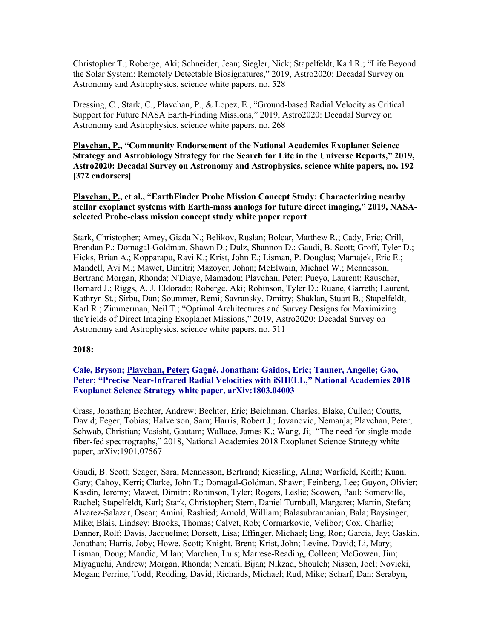Christopher T.; Roberge, Aki; Schneider, Jean; Siegler, Nick; Stapelfeldt, Karl R.; "Life Beyond the Solar System: Remotely Detectable Biosignatures," 2019, Astro2020: Decadal Survey on Astronomy and Astrophysics, science white papers, no. 528

Dressing, C., Stark, C., Plavchan, P., & Lopez, E., "Ground-based Radial Velocity as Critical Support for Future NASA Earth-Finding Missions," 2019, Astro2020: Decadal Survey on Astronomy and Astrophysics, science white papers, no. 268

**Plavchan, P., "Community Endorsement of the National Academies Exoplanet Science Strategy and Astrobiology Strategy for the Search for Life in the Universe Reports," 2019, Astro2020: Decadal Survey on Astronomy and Astrophysics, science white papers, no. 192 [372 endorsers]**

**Plavchan, P., et al., "EarthFinder Probe Mission Concept Study: Characterizing nearby stellar exoplanet systems with Earth-mass analogs for future direct imaging," 2019, NASAselected Probe-class mission concept study white paper report**

Stark, Christopher; Arney, Giada N.; Belikov, Ruslan; Bolcar, Matthew R.; Cady, Eric; Crill, Brendan P.; Domagal-Goldman, Shawn D.; Dulz, Shannon D.; Gaudi, B. Scott; Groff, Tyler D.; Hicks, Brian A.; Kopparapu, Ravi K.; Krist, John E.; Lisman, P. Douglas; Mamajek, Eric E.; Mandell, Avi M.; Mawet, Dimitri; Mazoyer, Johan; McElwain, Michael W.; Mennesson, Bertrand Morgan, Rhonda; N'Diaye, Mamadou; Plavchan, Peter; Pueyo, Laurent; Rauscher, Bernard J.; Riggs, A. J. Eldorado; Roberge, Aki; Robinson, Tyler D.; Ruane, Garreth; Laurent, Kathryn St.; Sirbu, Dan; Soummer, Remi; Savransky, Dmitry; Shaklan, Stuart B.; Stapelfeldt, Karl R.; Zimmerman, Neil T.; "Optimal Architectures and Survey Designs for Maximizing theYields of Direct Imaging Exoplanet Missions," 2019, Astro2020: Decadal Survey on Astronomy and Astrophysics, science white papers, no. 511

#### **2018:**

#### **Cale, Bryson; Plavchan, Peter; Gagné, Jonathan; Gaidos, Eric; Tanner, Angelle; Gao, Peter; "Precise Near-Infrared Radial Velocities with iSHELL," National Academies 2018 Exoplanet Science Strategy white paper, arXiv:1803.04003**

Crass, Jonathan; Bechter, Andrew; Bechter, Eric; Beichman, Charles; Blake, Cullen; Coutts, David; Feger, Tobias; Halverson, Sam; Harris, Robert J.; Jovanovic, Nemanja; Plavchan, Peter; Schwab, Christian; Vasisht, Gautam; Wallace, James K.; Wang, Ji; "The need for single-mode fiber-fed spectrographs," 2018, National Academies 2018 Exoplanet Science Strategy white paper, arXiv:1901.07567

Gaudi, B. Scott; Seager, Sara; Mennesson, Bertrand; Kiessling, Alina; Warfield, Keith; Kuan, Gary; Cahoy, Kerri; Clarke, John T.; Domagal-Goldman, Shawn; Feinberg, Lee; Guyon, Olivier; Kasdin, Jeremy; Mawet, Dimitri; Robinson, Tyler; Rogers, Leslie; Scowen, Paul; Somerville, Rachel; Stapelfeldt, Karl; Stark, Christopher; Stern, Daniel Turnbull, Margaret; Martin, Stefan; Alvarez-Salazar, Oscar; Amini, Rashied; Arnold, William; Balasubramanian, Bala; Baysinger, Mike; Blais, Lindsey; Brooks, Thomas; Calvet, Rob; Cormarkovic, Velibor; Cox, Charlie; Danner, Rolf; Davis, Jacqueline; Dorsett, Lisa; Effinger, Michael; Eng, Ron; Garcia, Jay; Gaskin, Jonathan; Harris, Joby; Howe, Scott; Knight, Brent; Krist, John; Levine, David; Li, Mary; Lisman, Doug; Mandic, Milan; Marchen, Luis; Marrese-Reading, Colleen; McGowen, Jim; Miyaguchi, Andrew; Morgan, Rhonda; Nemati, Bijan; Nikzad, Shouleh; Nissen, Joel; Novicki, Megan; Perrine, Todd; Redding, David; Richards, Michael; Rud, Mike; Scharf, Dan; Serabyn,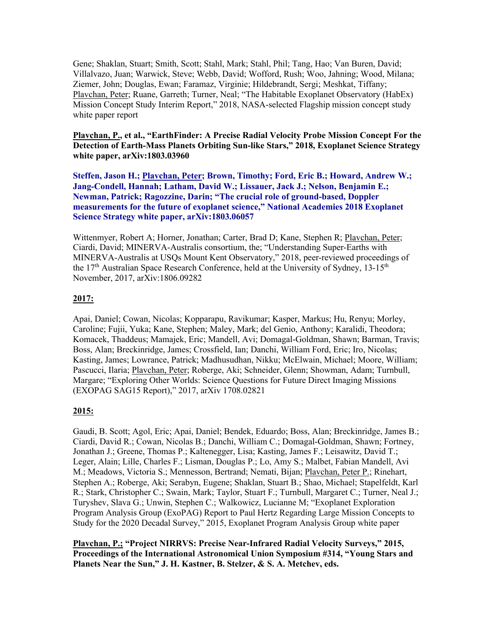Gene; Shaklan, Stuart; Smith, Scott; Stahl, Mark; Stahl, Phil; Tang, Hao; Van Buren, David; Villalvazo, Juan; Warwick, Steve; Webb, David; Wofford, Rush; Woo, Jahning; Wood, Milana; Ziemer, John; Douglas, Ewan; Faramaz, Virginie; Hildebrandt, Sergi; Meshkat, Tiffany; Plavchan, Peter; Ruane, Garreth; Turner, Neal; "The Habitable Exoplanet Observatory (HabEx) Mission Concept Study Interim Report," 2018, NASA-selected Flagship mission concept study white paper report

#### **Plavchan, P., et al., "EarthFinder: A Precise Radial Velocity Probe Mission Concept For the Detection of Earth-Mass Planets Orbiting Sun-like Stars," 2018, Exoplanet Science Strategy white paper, arXiv:1803.03960**

**Steffen, Jason H.; Plavchan, Peter; Brown, Timothy; Ford, Eric B.; Howard, Andrew W.; Jang-Condell, Hannah; Latham, David W.; Lissauer, Jack J.; Nelson, Benjamin E.; Newman, Patrick; Ragozzine, Darin; "The crucial role of ground-based, Doppler measurements for the future of exoplanet science," National Academies 2018 Exoplanet Science Strategy white paper, arXiv:1803.06057**

Wittenmyer, Robert A; Horner, Jonathan; Carter, Brad D; Kane, Stephen R; Plavchan, Peter; Ciardi, David; MINERVA-Australis consortium, the; "Understanding Super-Earths with MINERVA-Australis at USQs Mount Kent Observatory," 2018, peer-reviewed proceedings of the  $17<sup>th</sup>$  Australian Space Research Conference, held at the University of Sydney,  $13-15<sup>th</sup>$ November, 2017, arXiv:1806.09282

#### **2017:**

Apai, Daniel; Cowan, Nicolas; Kopparapu, Ravikumar; Kasper, Markus; Hu, Renyu; Morley, Caroline; Fujii, Yuka; Kane, Stephen; Maley, Mark; del Genio, Anthony; Karalidi, Theodora; Komacek, Thaddeus; Mamajek, Eric; Mandell, Avi; Domagal-Goldman, Shawn; Barman, Travis; Boss, Alan; Breckinridge, James; Crossfield, Ian; Danchi, William Ford, Eric; Iro, Nicolas; Kasting, James; Lowrance, Patrick; Madhusudhan, Nikku; McElwain, Michael; Moore, William; Pascucci, Ilaria; Plavchan, Peter; Roberge, Aki; Schneider, Glenn; Showman, Adam; Turnbull, Margare; "Exploring Other Worlds: Science Questions for Future Direct Imaging Missions (EXOPAG SAG15 Report)," 2017, arXiv 1708.02821

#### **2015:**

Gaudi, B. Scott; Agol, Eric; Apai, Daniel; Bendek, Eduardo; Boss, Alan; Breckinridge, James B.; Ciardi, David R.; Cowan, Nicolas B.; Danchi, William C.; Domagal-Goldman, Shawn; Fortney, Jonathan J.; Greene, Thomas P.; Kaltenegger, Lisa; Kasting, James F.; Leisawitz, David T.; Leger, Alain; Lille, Charles F.; Lisman, Douglas P.; Lo, Amy S.; Malbet, Fabian Mandell, Avi M.; Meadows, Victoria S.; Mennesson, Bertrand; Nemati, Bijan; Plavchan, Peter P.; Rinehart, Stephen A.; Roberge, Aki; Serabyn, Eugene; Shaklan, Stuart B.; Shao, Michael; Stapelfeldt, Karl R.; Stark, Christopher C.; Swain, Mark; Taylor, Stuart F.; Turnbull, Margaret C.; Turner, Neal J.; Turyshev, Slava G.; Unwin, Stephen C.; Walkowicz, Lucianne M; "Exoplanet Exploration Program Analysis Group (ExoPAG) Report to Paul Hertz Regarding Large Mission Concepts to Study for the 2020 Decadal Survey," 2015, Exoplanet Program Analysis Group white paper

**Plavchan, P.; "Project NIRRVS: Precise Near-Infrared Radial Velocity Surveys," 2015, Proceedings of the International Astronomical Union Symposium #314, "Young Stars and Planets Near the Sun," J. H. Kastner, B. Stelzer, & S. A. Metchev, eds.**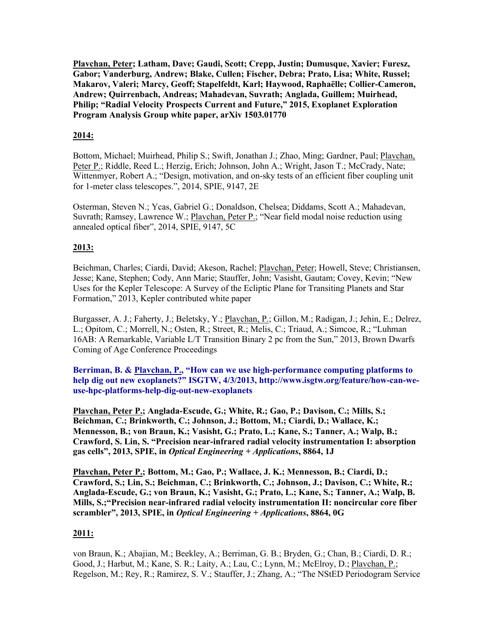**Plavchan, Peter; Latham, Dave; Gaudi, Scott; Crepp, Justin; Dumusque, Xavier; Furesz, Gabor; Vanderburg, Andrew; Blake, Cullen; Fischer, Debra; Prato, Lisa; White, Russel; Makarov, Valeri; Marcy, Geoff; Stapelfeldt, Karl; Haywood, Raphaëlle; Collier-Cameron, Andrew; Quirrenbach, Andreas; Mahadevan, Suvrath; Anglada, Guillem; Muirhead, Philip; "Radial Velocity Prospects Current and Future," 2015, Exoplanet Exploration Program Analysis Group white paper, arXiv 1503.01770**

#### **2014:**

Bottom, Michael; Muirhead, Philip S.; Swift, Jonathan J.; Zhao, Ming; Gardner, Paul; Plavchan, Peter P.; Riddle, Reed L.; Herzig, Erich; Johnson, John A.; Wright, Jason T.; McCrady, Nate; Wittenmyer, Robert A.; "Design, motivation, and on-sky tests of an efficient fiber coupling unit for 1-meter class telescopes.", 2014, SPIE, 9147, 2E

Osterman, Steven N.; Ycas, Gabriel G.; Donaldson, Chelsea; Diddams, Scott A.; Mahadevan, Suvrath; Ramsey, Lawrence W.; Plavchan, Peter P.; "Near field modal noise reduction using annealed optical fiber", 2014, SPIE, 9147, 5C

#### **2013:**

Beichman, Charles; Ciardi, David; Akeson, Rachel; Plavchan, Peter; Howell, Steve; Christiansen, Jesse; Kane, Stephen; Cody, Ann Marie; Stauffer, John; Vasisht, Gautam; Covey, Kevin; "New Uses for the Kepler Telescope: A Survey of the Ecliptic Plane for Transiting Planets and Star Formation," 2013, Kepler contributed white paper

Burgasser, A. J.; Faherty, J.; Beletsky, Y.; Plavchan, P.; Gillon, M.; Radigan, J.; Jehin, E.; Delrez, L.; Opitom, C.; Morrell, N.; Osten, R.; Street, R.; Melis, C.; Triaud, A.; Simcoe, R.; "Luhman 16AB: A Remarkable, Variable L/T Transition Binary 2 pc from the Sun," 2013, Brown Dwarfs Coming of Age Conference Proceedings

**Berriman, B. & Plavchan, P., "How can we use high-performance computing platforms to help dig out new exoplanets?" ISGTW, 4/3/2013, http://www.isgtw.org/feature/how-can-weuse-hpc-platforms-help-dig-out-new-exoplanets**

**Plavchan, Peter P.; Anglada-Escude, G.; White, R.; Gao, P.; Davison, C.; Mills, S.; Beichman, C.; Brinkworth, C.; Johnson, J.; Bottom, M.; Ciardi, D.; Wallace, K.; Mennesson, B.; von Braun, K.; Vasisht, G.; Prato, L.; Kane, S.; Tanner, A.; Walp, B.; Crawford, S. Lin, S. "Precision near-infrared radial velocity instrumentation I: absorption gas cells", 2013, SPIE, in** *Optical Engineering + Applications***, 8864, 1J**

**Plavchan, Peter P.; Bottom, M.; Gao, P.; Wallace, J. K.; Mennesson, B.; Ciardi, D.; Crawford, S.; Lin, S.; Beichman, C.; Brinkworth, C.; Johnson, J.; Davison, C.; White, R.; Anglada-Escude, G.; von Braun, K.; Vasisht, G.; Prato, L.; Kane, S.; Tanner, A.; Walp, B. Mills, S.;"Precision near-infrared radial velocity instrumentation II: noncircular core fiber scrambler", 2013, SPIE, in** *Optical Engineering + Applications***, 8864, 0G**

#### **2011:**

von Braun, K.; Abajian, M.; Beekley, A.; Berriman, G. B.; Bryden, G.; Chan, B.; Ciardi, D. R.; Good, J.; Harbut, M.; Kane, S. R.; Laity, A.; Lau, C.; Lynn, M.; McElroy, D.; Plavchan, P.; Regelson, M.; Rey, R.; Ramirez, S. V.; Stauffer, J.; Zhang, A.; "The NStED Periodogram Service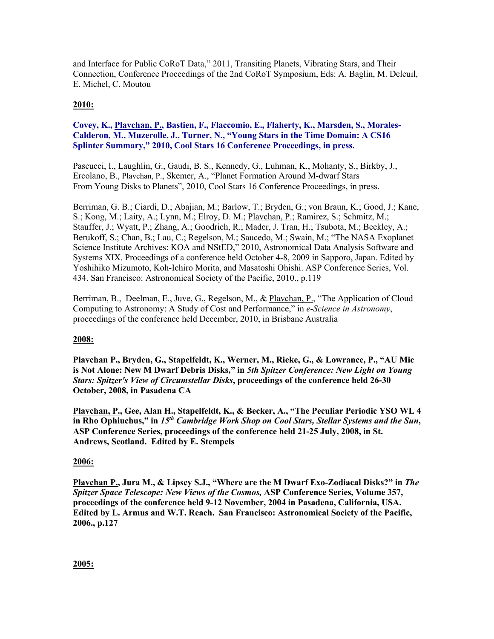and Interface for Public CoRoT Data," 2011, Transiting Planets, Vibrating Stars, and Their Connection, Conference Proceedings of the 2nd CoRoT Symposium, Eds: A. Baglin, M. Deleuil, E. Michel, C. Moutou

#### **2010:**

#### **Covey, K., Plavchan, P., Bastien, F., Flaccomio, E., Flaherty, K., Marsden, S., Morales-Calderon, M., Muzerolle, J., Turner, N., "Young Stars in the Time Domain: A CS16 Splinter Summary," 2010, Cool Stars 16 Conference Proceedings, in press.**

Pascucci, I., Laughlin, G., Gaudi, B. S., Kennedy, G., Luhman, K., Mohanty, S., Birkby, J., Ercolano, B., Plavchan, P., Skemer, A., "Planet Formation Around M-dwarf Stars From Young Disks to Planets", 2010, Cool Stars 16 Conference Proceedings, in press.

Berriman, G. B.; Ciardi, D.; Abajian, M.; Barlow, T.; Bryden, G.; von Braun, K.; Good, J.; Kane, S.; Kong, M.; Laity, A.; Lynn, M.; Elroy, D. M.; Plavchan, P.; Ramirez, S.; Schmitz, M.; Stauffer, J.; Wyatt, P.; Zhang, A.; Goodrich, R.; Mader, J. Tran, H.; Tsubota, M.; Beekley, A.; Berukoff, S.; Chan, B.; Lau, C.; Regelson, M.; Saucedo, M.; Swain, M.; "The NASA Exoplanet Science Institute Archives: KOA and NStED," 2010, Astronomical Data Analysis Software and Systems XIX. Proceedings of a conference held October 4-8, 2009 in Sapporo, Japan. Edited by Yoshihiko Mizumoto, Koh-Ichiro Morita, and Masatoshi Ohishi. ASP Conference Series, Vol. 434. San Francisco: Astronomical Society of the Pacific, 2010., p.119

Berriman, B., Deelman, E., Juve, G., Regelson, M., & Playchan, P., "The Application of Cloud Computing to Astronomy: A Study of Cost and Performance," in *e-Science in Astronomy*, proceedings of the conference held December, 2010, in Brisbane Australia

#### **2008:**

**Plavchan P., Bryden, G., Stapelfeldt, K., Werner, M., Rieke, G., & Lowrance, P., "AU Mic is Not Alone: New M Dwarf Debris Disks," in** *5th Spitzer Conference: New Light on Young Stars: Spitzer's View of Circumstellar Disks***, proceedings of the conference held 26-30 October, 2008, in Pasadena CA**

**Plavchan, P., Gee, Alan H., Stapelfeldt, K., & Becker, A., "The Peculiar Periodic YSO WL 4 in Rho Ophiuchus," in** *15th Cambridge Work Shop on Cool Stars, Stellar Systems and the Sun***, ASP Conference Series, proceedings of the conference held 21-25 July, 2008, in St. Andrews, Scotland. Edited by E. Stempels**

#### **2006:**

**Plavchan P., Jura M., & Lipscy S.J., "Where are the M Dwarf Exo-Zodiacal Disks?" in** *The Spitzer Space Telescope: New Views of the Cosmos,* **ASP Conference Series, Volume 357, proceedings of the conference held 9-12 November, 2004 in Pasadena, California, USA. Edited by L. Armus and W.T. Reach. San Francisco: Astronomical Society of the Pacific, 2006., p.127**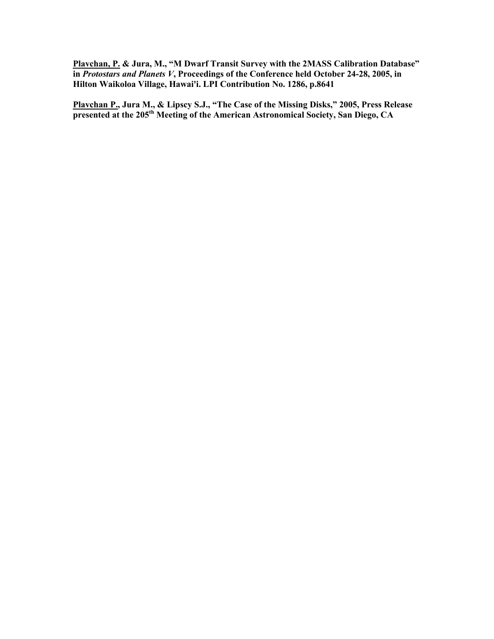**Plavchan, P. & Jura, M., "M Dwarf Transit Survey with the 2MASS Calibration Database" in** *Protostars and Planets V***, Proceedings of the Conference held October 24-28, 2005, in Hilton Waikoloa Village, Hawai'i. LPI Contribution No. 1286, p.8641**

**Plavchan P., Jura M., & Lipscy S.J., "The Case of the Missing Disks," 2005, Press Release presented at the 205th Meeting of the American Astronomical Society, San Diego, CA**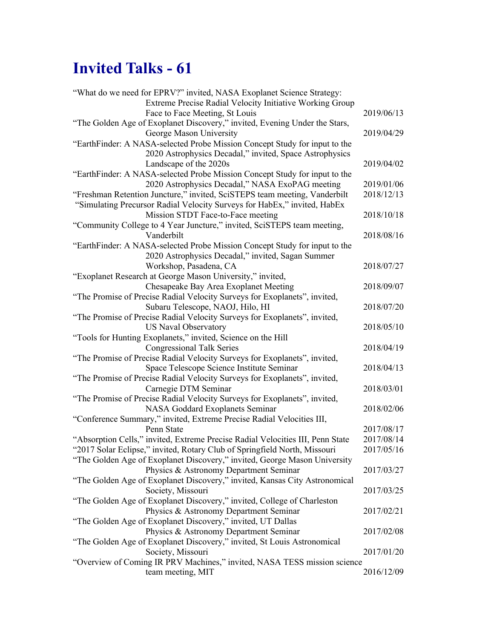# **Invited Talks - 61**

| "What do we need for EPRV?" invited, NASA Exoplanet Science Strategy:          |            |
|--------------------------------------------------------------------------------|------------|
| Extreme Precise Radial Velocity Initiative Working Group                       |            |
| Face to Face Meeting, St Louis                                                 | 2019/06/13 |
| "The Golden Age of Exoplanet Discovery," invited, Evening Under the Stars,     |            |
| George Mason University                                                        | 2019/04/29 |
| "EarthFinder: A NASA-selected Probe Mission Concept Study for input to the     |            |
| 2020 Astrophysics Decadal," invited, Space Astrophysics                        |            |
| Landscape of the 2020s                                                         | 2019/04/02 |
| "EarthFinder: A NASA-selected Probe Mission Concept Study for input to the     |            |
| 2020 Astrophysics Decadal," NASA ExoPAG meeting                                | 2019/01/06 |
| "Freshman Retention Juncture," invited, SciSTEPS team meeting, Vanderbilt      | 2018/12/13 |
| "Simulating Precursor Radial Velocity Surveys for HabEx," invited, HabEx       |            |
| Mission STDT Face-to-Face meeting                                              | 2018/10/18 |
| "Community College to 4 Year Juncture," invited, SciSTEPS team meeting,        |            |
| Vanderbilt                                                                     | 2018/08/16 |
| "EarthFinder: A NASA-selected Probe Mission Concept Study for input to the     |            |
| 2020 Astrophysics Decadal," invited, Sagan Summer                              |            |
| Workshop, Pasadena, CA                                                         | 2018/07/27 |
| "Exoplanet Research at George Mason University," invited,                      |            |
| Chesapeake Bay Area Exoplanet Meeting                                          | 2018/09/07 |
| "The Promise of Precise Radial Velocity Surveys for Exoplanets", invited,      |            |
| Subaru Telescope, NAOJ, Hilo, HI                                               | 2018/07/20 |
| "The Promise of Precise Radial Velocity Surveys for Exoplanets", invited,      |            |
| <b>US Naval Observatory</b>                                                    | 2018/05/10 |
| "Tools for Hunting Exoplanets," invited, Science on the Hill                   |            |
| <b>Congressional Talk Series</b>                                               | 2018/04/19 |
| "The Promise of Precise Radial Velocity Surveys for Exoplanets", invited,      |            |
| Space Telescope Science Institute Seminar                                      | 2018/04/13 |
| "The Promise of Precise Radial Velocity Surveys for Exoplanets", invited,      |            |
| Carnegie DTM Seminar                                                           | 2018/03/01 |
| "The Promise of Precise Radial Velocity Surveys for Exoplanets", invited,      |            |
| NASA Goddard Exoplanets Seminar                                                | 2018/02/06 |
| "Conference Summary," invited, Extreme Precise Radial Velocities III,          |            |
| Penn State                                                                     | 2017/08/17 |
| "Absorption Cells," invited, Extreme Precise Radial Velocities III, Penn State | 2017/08/14 |
| "2017 Solar Eclipse," invited, Rotary Club of Springfield North, Missouri      | 2017/05/16 |
| "The Golden Age of Exoplanet Discovery," invited, George Mason University      |            |
| Physics & Astronomy Department Seminar                                         | 2017/03/27 |
| "The Golden Age of Exoplanet Discovery," invited, Kansas City Astronomical     |            |
| Society, Missouri                                                              | 2017/03/25 |
| "The Golden Age of Exoplanet Discovery," invited, College of Charleston        |            |
| Physics & Astronomy Department Seminar                                         | 2017/02/21 |
| "The Golden Age of Exoplanet Discovery," invited, UT Dallas                    |            |
| Physics & Astronomy Department Seminar                                         | 2017/02/08 |
| "The Golden Age of Exoplanet Discovery," invited, St Louis Astronomical        |            |
| Society, Missouri                                                              | 2017/01/20 |
| "Overview of Coming IR PRV Machines," invited, NASA TESS mission science       |            |
| team meeting, MIT                                                              | 2016/12/09 |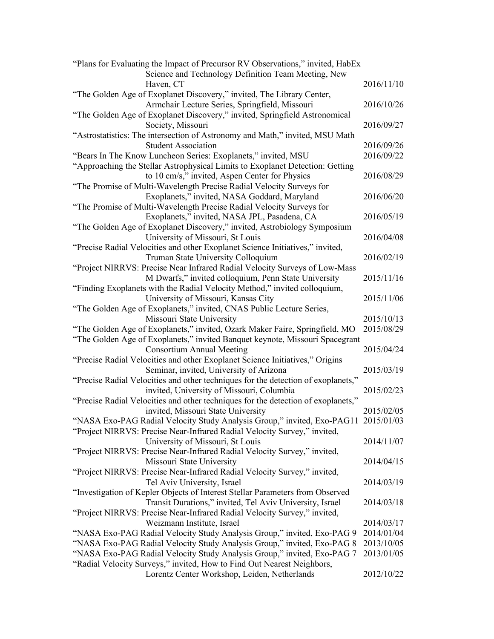| "Plans for Evaluating the Impact of Precursor RV Observations," invited, HabEx<br>Science and Technology Definition Team Meeting, New |            |
|---------------------------------------------------------------------------------------------------------------------------------------|------------|
| Haven, CT                                                                                                                             | 2016/11/10 |
| "The Golden Age of Exoplanet Discovery," invited, The Library Center,                                                                 |            |
| Armchair Lecture Series, Springfield, Missouri<br>"The Golden Age of Exoplanet Discovery," invited, Springfield Astronomical          | 2016/10/26 |
| Society, Missouri                                                                                                                     | 2016/09/27 |
| "Astrostatistics: The intersection of Astronomy and Math," invited, MSU Math                                                          |            |
| <b>Student Association</b>                                                                                                            | 2016/09/26 |
| "Bears In The Know Luncheon Series: Exoplanets," invited, MSU                                                                         | 2016/09/22 |
| "Approaching the Stellar Astrophysical Limits to Exoplanet Detection: Getting                                                         |            |
| to 10 cm/s," invited, Aspen Center for Physics                                                                                        | 2016/08/29 |
| "The Promise of Multi-Wavelength Precise Radial Velocity Surveys for                                                                  |            |
| Exoplanets," invited, NASA Goddard, Maryland                                                                                          | 2016/06/20 |
| "The Promise of Multi-Wavelength Precise Radial Velocity Surveys for                                                                  |            |
| Exoplanets," invited, NASA JPL, Pasadena, CA                                                                                          | 2016/05/19 |
| "The Golden Age of Exoplanet Discovery," invited, Astrobiology Symposium                                                              |            |
| University of Missouri, St Louis                                                                                                      | 2016/04/08 |
| "Precise Radial Velocities and other Exoplanet Science Initiatives," invited,                                                         |            |
| Truman State University Colloquium                                                                                                    | 2016/02/19 |
| "Project NIRRVS: Precise Near Infrared Radial Velocity Surveys of Low-Mass                                                            |            |
| M Dwarfs," invited colloquium, Penn State University                                                                                  | 2015/11/16 |
| "Finding Exoplanets with the Radial Velocity Method," invited colloquium,                                                             |            |
| University of Missouri, Kansas City                                                                                                   | 2015/11/06 |
| "The Golden Age of Exoplanets," invited, CNAS Public Lecture Series,                                                                  |            |
| Missouri State University                                                                                                             | 2015/10/13 |
| "The Golden Age of Exoplanets," invited, Ozark Maker Faire, Springfield, MO                                                           | 2015/08/29 |
| "The Golden Age of Exoplanets," invited Banquet keynote, Missouri Spacegrant                                                          |            |
| <b>Consortium Annual Meeting</b>                                                                                                      | 2015/04/24 |
| "Precise Radial Velocities and other Exoplanet Science Initiatives," Origins                                                          |            |
| Seminar, invited, University of Arizona                                                                                               | 2015/03/19 |
| "Precise Radial Velocities and other techniques for the detection of exoplanets,"                                                     |            |
| invited, University of Missouri, Columbia                                                                                             | 2015/02/23 |
| "Precise Radial Velocities and other techniques for the detection of exoplanets,"                                                     |            |
| invited, Missouri State University                                                                                                    | 2015/02/05 |
| "NASA Exo-PAG Radial Velocity Study Analysis Group," invited, Exo-PAG11 2015/01/03                                                    |            |
| "Project NIRRVS: Precise Near-Infrared Radial Velocity Survey," invited,                                                              |            |
| University of Missouri, St Louis                                                                                                      | 2014/11/07 |
| "Project NIRRVS: Precise Near-Infrared Radial Velocity Survey," invited,                                                              |            |
| Missouri State University                                                                                                             | 2014/04/15 |
| "Project NIRRVS: Precise Near-Infrared Radial Velocity Survey," invited,                                                              |            |
| Tel Aviv University, Israel                                                                                                           | 2014/03/19 |
| "Investigation of Kepler Objects of Interest Stellar Parameters from Observed                                                         |            |
| Transit Durations," invited, Tel Aviv University, Israel                                                                              | 2014/03/18 |
| "Project NIRRVS: Precise Near-Infrared Radial Velocity Survey," invited,                                                              |            |
| Weizmann Institute, Israel                                                                                                            | 2014/03/17 |
| "NASA Exo-PAG Radial Velocity Study Analysis Group," invited, Exo-PAG 9                                                               | 2014/01/04 |
| "NASA Exo-PAG Radial Velocity Study Analysis Group," invited, Exo-PAG 8                                                               | 2013/10/05 |
| "NASA Exo-PAG Radial Velocity Study Analysis Group," invited, Exo-PAG 7                                                               | 2013/01/05 |
| "Radial Velocity Surveys," invited, How to Find Out Nearest Neighbors,                                                                |            |
| Lorentz Center Workshop, Leiden, Netherlands                                                                                          | 2012/10/22 |
|                                                                                                                                       |            |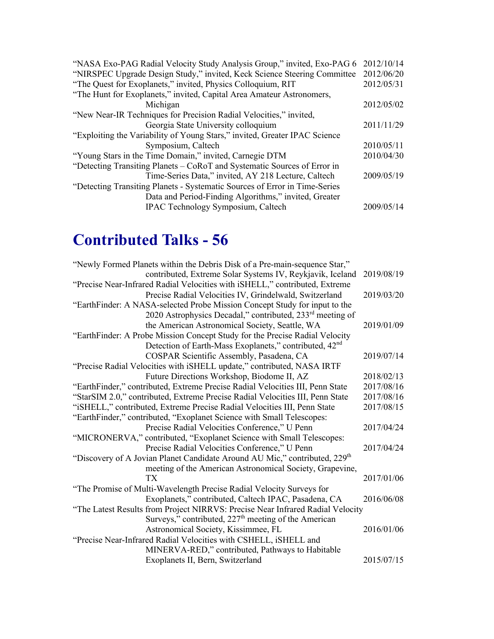| "NASA Exo-PAG Radial Velocity Study Analysis Group," invited, Exo-PAG 6    | 2012/10/14 |  |
|----------------------------------------------------------------------------|------------|--|
| "NIRSPEC Upgrade Design Study," invited, Keck Science Steering Committee   |            |  |
| "The Quest for Exoplanets," invited, Physics Colloquium, RIT               |            |  |
| "The Hunt for Exoplanets," invited, Capital Area Amateur Astronomers,      |            |  |
| Michigan                                                                   | 2012/05/02 |  |
| "New Near-IR Techniques for Precision Radial Velocities," invited,         |            |  |
| Georgia State University colloquium                                        | 2011/11/29 |  |
| "Exploiting the Variability of Young Stars," invited, Greater IPAC Science |            |  |
| Symposium, Caltech                                                         | 2010/05/11 |  |
| "Young Stars in the Time Domain," invited, Carnegie DTM                    |            |  |
| "Detecting Transiting Planets – CoRoT and Systematic Sources of Error in   |            |  |
| Time-Series Data," invited, AY 218 Lecture, Caltech                        | 2009/05/19 |  |
| "Detecting Transiting Planets - Systematic Sources of Error in Time-Series |            |  |
| Data and Period-Finding Algorithms," invited, Greater                      |            |  |
| <b>IPAC Technology Symposium, Caltech</b>                                  | 2009/05/14 |  |
|                                                                            |            |  |

# **Contributed Talks - 56**

| "Newly Formed Planets within the Debris Disk of a Pre-main-sequence Star,"             |            |
|----------------------------------------------------------------------------------------|------------|
| contributed, Extreme Solar Systems IV, Reykjavik, Iceland                              | 2019/08/19 |
| "Precise Near-Infrared Radial Velocities with iSHELL," contributed, Extreme            |            |
| Precise Radial Velocities IV, Grindelwald, Switzerland                                 | 2019/03/20 |
| "EarthFinder: A NASA-selected Probe Mission Concept Study for input to the             |            |
| 2020 Astrophysics Decadal," contributed, 233 <sup>rd</sup> meeting of                  |            |
| the American Astronomical Society, Seattle, WA                                         | 2019/01/09 |
| "EarthFinder: A Probe Mission Concept Study for the Precise Radial Velocity            |            |
| Detection of Earth-Mass Exoplanets," contributed, 42 <sup>nd</sup>                     |            |
| COSPAR Scientific Assembly, Pasadena, CA                                               | 2019/07/14 |
| "Precise Radial Velocities with iSHELL update," contributed, NASA IRTF                 |            |
| Future Directions Workshop, Biodome II, AZ                                             | 2018/02/13 |
| "EarthFinder," contributed, Extreme Precise Radial Velocities III, Penn State          | 2017/08/16 |
| "StarSIM 2.0," contributed, Extreme Precise Radial Velocities III, Penn State          | 2017/08/16 |
| "iSHELL," contributed, Extreme Precise Radial Velocities III, Penn State               | 2017/08/15 |
| "EarthFinder," contributed, "Exoplanet Science with Small Telescopes:                  |            |
| Precise Radial Velocities Conference," U Penn                                          | 2017/04/24 |
| "MICRONERVA," contributed, "Exoplanet Science with Small Telescopes:                   |            |
| Precise Radial Velocities Conference," U Penn                                          | 2017/04/24 |
| "Discovery of A Jovian Planet Candidate Around AU Mic," contributed, 229 <sup>th</sup> |            |
| meeting of the American Astronomical Society, Grapevine,                               |            |
| TX                                                                                     | 2017/01/06 |
| "The Promise of Multi-Wavelength Precise Radial Velocity Surveys for                   |            |
| Exoplanets," contributed, Caltech IPAC, Pasadena, CA                                   | 2016/06/08 |
| "The Latest Results from Project NIRRVS: Precise Near Infrared Radial Velocity         |            |
| Surveys," contributed, $227th$ meeting of the American                                 |            |
| Astronomical Society, Kissimmee, FL                                                    | 2016/01/06 |
| "Precise Near-Infrared Radial Velocities with CSHELL, iSHELL and                       |            |
| MINERVA-RED," contributed, Pathways to Habitable                                       |            |
| Exoplanets II, Bern, Switzerland                                                       | 2015/07/15 |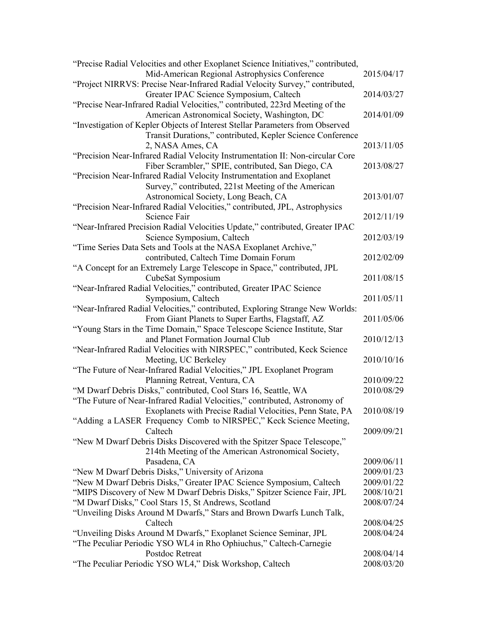| "Precise Radial Velocities and other Exoplanet Science Initiatives," contributed,<br>Mid-American Regional Astrophysics Conference | 2015/04/17 |
|------------------------------------------------------------------------------------------------------------------------------------|------------|
| "Project NIRRVS: Precise Near-Infrared Radial Velocity Survey," contributed,                                                       |            |
| Greater IPAC Science Symposium, Caltech                                                                                            | 2014/03/27 |
| "Precise Near-Infrared Radial Velocities," contributed, 223rd Meeting of the                                                       |            |
| American Astronomical Society, Washington, DC                                                                                      | 2014/01/09 |
| "Investigation of Kepler Objects of Interest Stellar Parameters from Observed                                                      |            |
| Transit Durations," contributed, Kepler Science Conference                                                                         |            |
| 2, NASA Ames, CA                                                                                                                   | 2013/11/05 |
| "Precision Near-Infrared Radial Velocity Instrumentation II: Non-circular Core                                                     |            |
| Fiber Scrambler," SPIE, contributed, San Diego, CA                                                                                 | 2013/08/27 |
| "Precision Near-Infrared Radial Velocity Instrumentation and Exoplanet                                                             |            |
| Survey," contributed, 221st Meeting of the American                                                                                |            |
| Astronomical Society, Long Beach, CA                                                                                               | 2013/01/07 |
| "Precision Near-Infrared Radial Velocities," contributed, JPL, Astrophysics                                                        |            |
| Science Fair                                                                                                                       | 2012/11/19 |
| "Near-Infrared Precision Radial Velocities Update," contributed, Greater IPAC                                                      |            |
| Science Symposium, Caltech                                                                                                         | 2012/03/19 |
| "Time Series Data Sets and Tools at the NASA Exoplanet Archive,"                                                                   |            |
| contributed, Caltech Time Domain Forum                                                                                             | 2012/02/09 |
| "A Concept for an Extremely Large Telescope in Space," contributed, JPL                                                            |            |
|                                                                                                                                    |            |
| CubeSat Symposium                                                                                                                  | 2011/08/15 |
| "Near-Infrared Radial Velocities," contributed, Greater IPAC Science                                                               |            |
| Symposium, Caltech                                                                                                                 | 2011/05/11 |
| "Near-Infrared Radial Velocities," contributed, Exploring Strange New Worlds:                                                      |            |
| From Giant Planets to Super Earths, Flagstaff, AZ                                                                                  | 2011/05/06 |
| "Young Stars in the Time Domain," Space Telescope Science Institute, Star                                                          |            |
| and Planet Formation Journal Club                                                                                                  | 2010/12/13 |
| "Near-Infrared Radial Velocities with NIRSPEC," contributed, Keck Science                                                          |            |
| Meeting, UC Berkeley                                                                                                               | 2010/10/16 |
| "The Future of Near-Infrared Radial Velocities," JPL Exoplanet Program                                                             |            |
| Planning Retreat, Ventura, CA                                                                                                      | 2010/09/22 |
| "M Dwarf Debris Disks," contributed, Cool Stars 16, Seattle, WA                                                                    | 2010/08/29 |
| "The Future of Near-Infrared Radial Velocities," contributed, Astronomy of                                                         |            |
| Exoplanets with Precise Radial Velocities, Penn State, PA                                                                          | 2010/08/19 |
| "Adding a LASER Frequency Comb to NIRSPEC," Keck Science Meeting,                                                                  |            |
| Caltech                                                                                                                            | 2009/09/21 |
| "New M Dwarf Debris Disks Discovered with the Spitzer Space Telescope,"                                                            |            |
| 214th Meeting of the American Astronomical Society,                                                                                |            |
| Pasadena, CA                                                                                                                       | 2009/06/11 |
| "New M Dwarf Debris Disks," University of Arizona                                                                                  | 2009/01/23 |
| "New M Dwarf Debris Disks," Greater IPAC Science Symposium, Caltech                                                                | 2009/01/22 |
| "MIPS Discovery of New M Dwarf Debris Disks," Spitzer Science Fair, JPL                                                            | 2008/10/21 |
| "M Dwarf Disks," Cool Stars 15, St Andrews, Scotland                                                                               | 2008/07/24 |
| "Unveiling Disks Around M Dwarfs," Stars and Brown Dwarfs Lunch Talk,                                                              |            |
| Caltech                                                                                                                            | 2008/04/25 |
| "Unveiling Disks Around M Dwarfs," Exoplanet Science Seminar, JPL                                                                  | 2008/04/24 |
| "The Peculiar Periodic YSO WL4 in Rho Ophiuchus," Caltech-Carnegie                                                                 |            |
| Postdoc Retreat                                                                                                                    | 2008/04/14 |
| "The Peculiar Periodic YSO WL4," Disk Workshop, Caltech                                                                            | 2008/03/20 |
|                                                                                                                                    |            |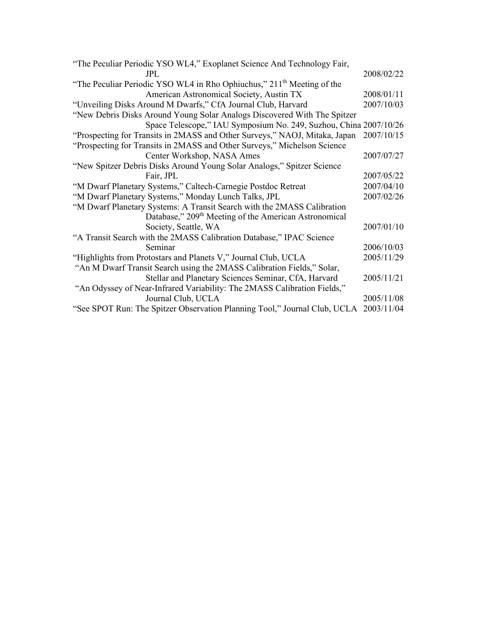| "The Peculiar Periodic YSO WL4," Exoplanet Science And Technology Fair,              |            |
|--------------------------------------------------------------------------------------|------------|
| JPL.                                                                                 | 2008/02/22 |
| "The Peculiar Periodic YSO WL4 in Rho Ophiuchus," 211 <sup>th</sup> Meeting of the   |            |
| American Astronomical Society, Austin TX                                             | 2008/01/11 |
| "Unveiling Disks Around M Dwarfs," CfA Journal Club, Harvard                         | 2007/10/03 |
| "New Debris Disks Around Young Solar Analogs Discovered With The Spitzer             |            |
| Space Telescope," IAU Symposium No. 249, Suzhou, China 2007/10/26                    |            |
| "Prospecting for Transits in 2MASS and Other Surveys," NAOJ, Mitaka, Japan           | 2007/10/15 |
| "Prospecting for Transits in 2MASS and Other Surveys," Michelson Science             |            |
| Center Workshop, NASA Ames                                                           | 2007/07/27 |
| "New Spitzer Debris Disks Around Young Solar Analogs," Spitzer Science               |            |
| Fair, JPL                                                                            | 2007/05/22 |
| "M Dwarf Planetary Systems," Caltech-Carnegie Postdoc Retreat                        | 2007/04/10 |
| "M Dwarf Planetary Systems," Monday Lunch Talks, JPL                                 | 2007/02/26 |
| "M Dwarf Planetary Systems: A Transit Search with the 2MASS Calibration              |            |
| Database," 209 <sup>th</sup> Meeting of the American Astronomical                    |            |
| Society, Seattle, WA                                                                 | 2007/01/10 |
| "A Transit Search with the 2MASS Calibration Database," IPAC Science                 |            |
| Seminar                                                                              | 2006/10/03 |
| "Highlights from Protostars and Planets V," Journal Club, UCLA                       | 2005/11/29 |
| "An M Dwarf Transit Search using the 2MASS Calibration Fields," Solar,               |            |
| Stellar and Planetary Sciences Seminar, CfA, Harvard                                 | 2005/11/21 |
| "An Odyssey of Near-Infrared Variability: The 2MASS Calibration Fields,"             |            |
| Journal Club, UCLA                                                                   | 2005/11/08 |
| "See SPOT Run: The Spitzer Observation Planning Tool," Journal Club, UCLA 2003/11/04 |            |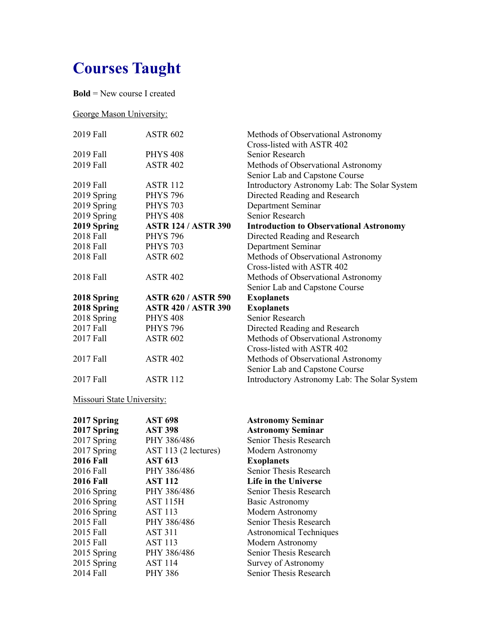# **Courses Taught**

**Bold** = New course I created

#### George Mason University:

| 2019 Fall   | <b>ASTR 602</b>            | Methods of Observational Astronomy             |
|-------------|----------------------------|------------------------------------------------|
|             |                            | Cross-listed with ASTR 402                     |
| 2019 Fall   | <b>PHYS 408</b>            | Senior Research                                |
| 2019 Fall   | <b>ASTR 402</b>            | Methods of Observational Astronomy             |
|             |                            | Senior Lab and Capstone Course                 |
| 2019 Fall   | <b>ASTR 112</b>            | Introductory Astronomy Lab: The Solar System   |
| 2019 Spring | <b>PHYS 796</b>            | Directed Reading and Research                  |
| 2019 Spring | <b>PHYS 703</b>            | Department Seminar                             |
| 2019 Spring | <b>PHYS 408</b>            | Senior Research                                |
| 2019 Spring | <b>ASTR 124 / ASTR 390</b> | <b>Introduction to Observational Astronomy</b> |
| 2018 Fall   | <b>PHYS 796</b>            | Directed Reading and Research                  |
| 2018 Fall   | <b>PHYS 703</b>            | Department Seminar                             |
| 2018 Fall   | <b>ASTR 602</b>            | Methods of Observational Astronomy             |
|             |                            | Cross-listed with ASTR 402                     |
| 2018 Fall   | <b>ASTR 402</b>            | Methods of Observational Astronomy             |
|             |                            | Senior Lab and Capstone Course                 |
| 2018 Spring | <b>ASTR 620 / ASTR 590</b> | <b>Exoplanets</b>                              |
| 2018 Spring | <b>ASTR 420 / ASTR 390</b> | <b>Exoplanets</b>                              |
| 2018 Spring | <b>PHYS 408</b>            | Senior Research                                |
| 2017 Fall   | <b>PHYS 796</b>            | Directed Reading and Research                  |
| 2017 Fall   | <b>ASTR 602</b>            | Methods of Observational Astronomy             |
|             |                            | Cross-listed with ASTR 402                     |
| 2017 Fall   | <b>ASTR 402</b>            | Methods of Observational Astronomy             |
|             |                            | Senior Lab and Capstone Course                 |
| 2017 Fall   | <b>ASTR 112</b>            | Introductory Astronomy Lab: The Solar System   |
|             |                            |                                                |

#### Missouri State University:

| 2017 Spring      | <b>AST 698</b>       | <b>Astronomy Seminar</b>       |
|------------------|----------------------|--------------------------------|
| 2017 Spring      | <b>AST 398</b>       | <b>Astronomy Seminar</b>       |
| 2017 Spring      | PHY 386/486          | Senior Thesis Research         |
| 2017 Spring      | AST 113 (2 lectures) | Modern Astronomy               |
| <b>2016 Fall</b> | <b>AST 613</b>       | <b>Exoplanets</b>              |
| 2016 Fall        | PHY 386/486          | Senior Thesis Research         |
| <b>2016 Fall</b> | <b>AST 112</b>       | Life in the Universe           |
| 2016 Spring      | PHY 386/486          | <b>Senior Thesis Research</b>  |
| 2016 Spring      | <b>AST 115H</b>      | Basic Astronomy                |
| 2016 Spring      | <b>AST 113</b>       | Modern Astronomy               |
| 2015 Fall        | PHY 386/486          | Senior Thesis Research         |
| 2015 Fall        | <b>AST 311</b>       | <b>Astronomical Techniques</b> |
| 2015 Fall        | <b>AST 113</b>       | Modern Astronomy               |
| 2015 Spring      | PHY 386/486          | Senior Thesis Research         |
| 2015 Spring      | <b>AST 114</b>       | Survey of Astronomy            |
| 2014 Fall        | <b>PHY 386</b>       | Senior Thesis Research         |